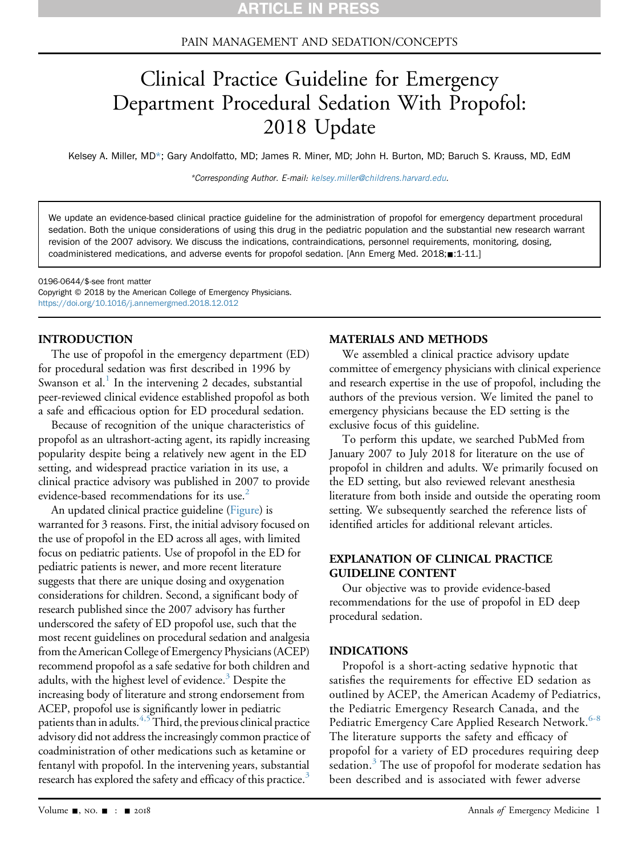# PAIN MANAGEMENT AND SEDATION/CONCEPTS

# Clinical Practice Guideline for Emergency Department Procedural Sedation With Propofol: 2018 Update

Kelsey A. Miller, MD\*; Gary Andolfatto, MD; James R. Miner, MD; John H. Burton, MD; Baruch S. Krauss, MD, EdM

\*Corresponding Author. E-mail: [kelsey.miller@childrens.harvard.edu](mailto:kelsey.miller@childrens.harvard.edu).

We update an evidence-based clinical practice guideline for the administration of propofol for emergency department procedural sedation. Both the unique considerations of using this drug in the pediatric population and the substantial new research warrant revision of the 2007 advisory. We discuss the indications, contraindications, personnel requirements, monitoring, dosing, coadministered medications, and adverse events for propofol sedation. [Ann Emerg Med. 2018; 1:1-11.]

0196-0644/\$-see front matter Copyright © 2018 by the American College of Emergency Physicians. <https://doi.org/10.1016/j.annemergmed.2018.12.012>

#### INTRODUCTION

The use of propofol in the emergency department (ED) for procedural sedation was first described in 1996 by Swanson et al.<sup>[1](#page-6-0)</sup> In the intervening 2 decades, substantial peer-reviewed clinical evidence established propofol as both a safe and efficacious option for ED procedural sedation.

Because of recognition of the unique characteristics of propofol as an ultrashort-acting agent, its rapidly increasing popularity despite being a relatively new agent in the ED setting, and widespread practice variation in its use, a clinical practice advisory was published in 2007 to provide evidence-based recommendations for its use.<sup>[2](#page-6-1)</sup>

An updated clinical practice guideline (Figure) is warranted for 3 reasons. First, the initial advisory focused on the use of propofol in the ED across all ages, with limited focus on pediatric patients. Use of propofol in the ED for pediatric patients is newer, and more recent literature suggests that there are unique dosing and oxygenation considerations for children. Second, a significant body of research published since the 2007 advisory has further underscored the safety of ED propofol use, such that the most recent guidelines on procedural sedation and analgesia from the American College of Emergency Physicians (ACEP) recommend propofol as a safe sedative for both children and adults, with the highest level of evidence.<sup>[3](#page-6-2)</sup> Despite the increasing body of literature and strong endorsement from ACEP, propofol use is significantly lower in pediatric patients than in adults.<sup>[4,5](#page-6-3)</sup> Third, the previous clinical practice advisory did not address the increasingly common practice of coadministration of other medications such as ketamine or fentanyl with propofol. In the intervening years, substantial research has explored the safety and efficacy of this practice.<sup>[3](#page-6-2)</sup>

#### MATERIALS AND METHODS

We assembled a clinical practice advisory update committee of emergency physicians with clinical experience and research expertise in the use of propofol, including the authors of the previous version. We limited the panel to emergency physicians because the ED setting is the exclusive focus of this guideline.

To perform this update, we searched PubMed from January 2007 to July 2018 for literature on the use of propofol in children and adults. We primarily focused on the ED setting, but also reviewed relevant anesthesia literature from both inside and outside the operating room setting. We subsequently searched the reference lists of identified articles for additional relevant articles.

# EXPLANATION OF CLINICAL PRACTICE GUIDELINE CONTENT

Our objective was to provide evidence-based recommendations for the use of propofol in ED deep procedural sedation.

#### INDICATIONS

Propofol is a short-acting sedative hypnotic that satisfies the requirements for effective ED sedation as outlined by ACEP, the American Academy of Pediatrics, the Pediatric Emergency Research Canada, and the Pediatric Emergency Care Applied Research Network.<sup>[6-8](#page-6-4)</sup> The literature supports the safety and efficacy of propofol for a variety of ED procedures requiring deep sedation.<sup>[3](#page-6-2)</sup> The use of propofol for moderate sedation has been described and is associated with fewer adverse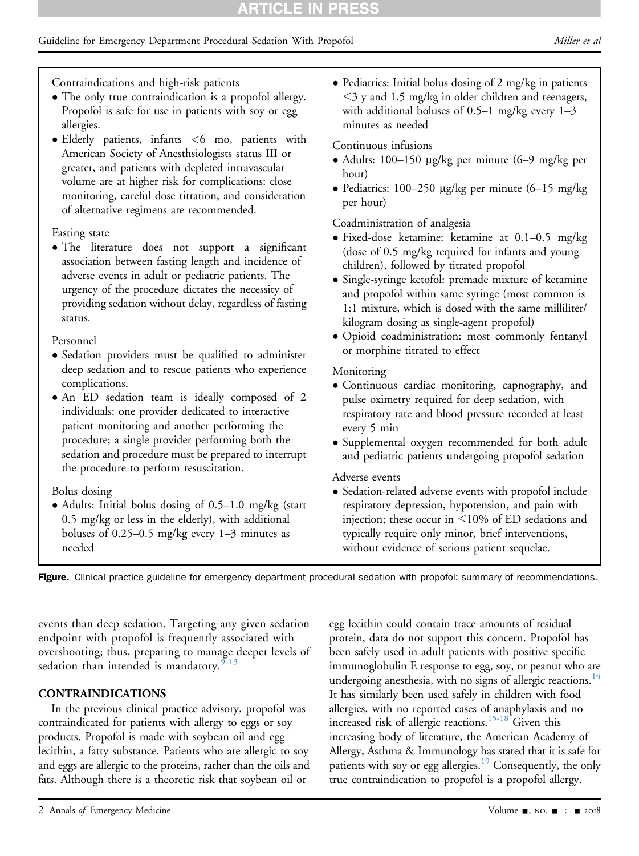# Guideline for Emergency Department Procedural Sedation With Propofol Miller et al. (*Miller et al.* Aller et al.

Contraindications and high-risk patients

- The only true contraindication is a propofol allergy. Propofol is safe for use in patients with soy or egg allergies.
- Elderly patients, infants <6 mo, patients with American Society of Anesthsiologists status III or greater, and patients with depleted intravascular volume are at higher risk for complications: close monitoring, careful dose titration, and consideration of alternative regimens are recommended.

#### Fasting state

 The literature does not support a significant association between fasting length and incidence of adverse events in adult or pediatric patients. The urgency of the procedure dictates the necessity of providing sedation without delay, regardless of fasting status.

#### Personnel

- Sedation providers must be qualified to administer deep sedation and to rescue patients who experience complications.
- An ED sedation team is ideally composed of 2 individuals: one provider dedicated to interactive patient monitoring and another performing the procedure; a single provider performing both the sedation and procedure must be prepared to interrupt the procedure to perform resuscitation.

# Bolus dosing

 Adults: Initial bolus dosing of 0.5–1.0 mg/kg (start 0.5 mg/kg or less in the elderly), with additional boluses of 0.25–0.5 mg/kg every 1–3 minutes as needed

• Pediatrics: Initial bolus dosing of 2 mg/kg in patients  $\leq$ 3 y and 1.5 mg/kg in older children and teenagers, with additional boluses of  $0.5-1$  mg/kg every  $1-3$ minutes as needed

# Continuous infusions

- Adults: 100–150 mg/kg per minute (6–9 mg/kg per hour)
- Pediatrics: 100–250  $\mu$ g/kg per minute (6–15 mg/kg) per hour)

Coadministration of analgesia

- Fixed-dose ketamine: ketamine at 0.1–0.5 mg/kg (dose of 0.5 mg/kg required for infants and young children), followed by titrated propofol
- Single-syringe ketofol: premade mixture of ketamine and propofol within same syringe (most common is 1:1 mixture, which is dosed with the same milliliter/ kilogram dosing as single-agent propofol)
- Opioid coadministration: most commonly fentanyl or morphine titrated to effect

# Monitoring

- Continuous cardiac monitoring, capnography, and pulse oximetry required for deep sedation, with respiratory rate and blood pressure recorded at least every 5 min
- Supplemental oxygen recommended for both adult and pediatric patients undergoing propofol sedation

# Adverse events

 Sedation-related adverse events with propofol include respiratory depression, hypotension, and pain with injection; these occur in  $\leq$ 10% of ED sedations and typically require only minor, brief interventions, without evidence of serious patient sequelae.

Figure. Clinical practice guideline for emergency department procedural sedation with propofol: summary of recommendations.

events than deep sedation. Targeting any given sedation endpoint with propofol is frequently associated with overshooting; thus, preparing to manage deeper levels of sedation than intended is mandatory.  $9-13$ 

# CONTRAINDICATIONS

In the previous clinical practice advisory, propofol was contraindicated for patients with allergy to eggs or soy products. Propofol is made with soybean oil and egg lecithin, a fatty substance. Patients who are allergic to soy and eggs are allergic to the proteins, rather than the oils and fats. Although there is a theoretic risk that soybean oil or

egg lecithin could contain trace amounts of residual protein, data do not support this concern. Propofol has been safely used in adult patients with positive specific immunoglobulin E response to egg, soy, or peanut who are undergoing anesthesia, with no signs of allergic reactions.<sup>[14](#page-7-1)</sup> It has similarly been used safely in children with food allergies, with no reported cases of anaphylaxis and no increased risk of allergic reactions.<sup>[15-18](#page-7-2)</sup> Given this increasing body of literature, the American Academy of Allergy, Asthma & Immunology has stated that it is safe for patients with soy or egg allergies.<sup>19</sup> Consequently, the only true contraindication to propofol is a propofol allergy.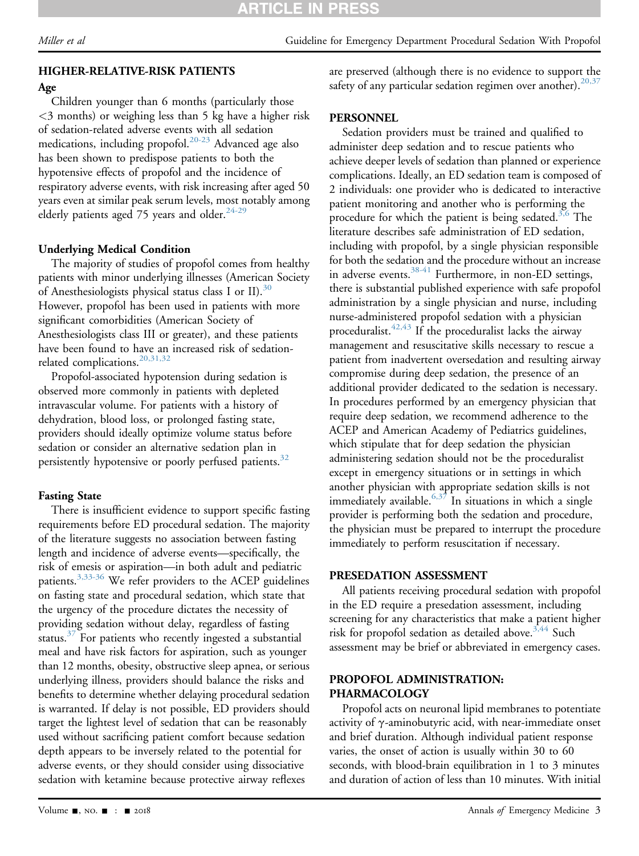# HIGHER-RELATIVE-RISK PATIENTS

# Age

Children younger than 6 months (particularly those <3 months) or weighing less than 5 kg have a higher risk of sedation-related adverse events with all sedation medications, including propofol.<sup>[20-23](#page-7-4)</sup> Advanced age also has been shown to predispose patients to both the hypotensive effects of propofol and the incidence of respiratory adverse events, with risk increasing after aged 50 years even at similar peak serum levels, most notably among elderly patients aged 75 years and older.<sup>[24-29](#page-7-5)</sup>

# Underlying Medical Condition

The majority of studies of propofol comes from healthy patients with minor underlying illnesses (American Society of Anesthesiologists physical status class I or II).<sup>[30](#page-7-6)</sup> However, propofol has been used in patients with more significant comorbidities (American Society of Anesthesiologists class III or greater), and these patients have been found to have an increased risk of sedationrelated complications.<sup>20,31,32</sup>

Propofol-associated hypotension during sedation is observed more commonly in patients with depleted intravascular volume. For patients with a history of dehydration, blood loss, or prolonged fasting state, providers should ideally optimize volume status before sedation or consider an alternative sedation plan in persistently hypotensive or poorly perfused patients.<sup>32</sup>

# Fasting State

There is insufficient evidence to support specific fasting requirements before ED procedural sedation. The majority of the literature suggests no association between fasting length and incidence of adverse events—specifically, the risk of emesis or aspiration—in both adult and pediatric patients.<sup>3,33-36</sup> We refer providers to the ACEP guidelines on fasting state and procedural sedation, which state that the urgency of the procedure dictates the necessity of providing sedation without delay, regardless of fasting status. $37$  For patients who recently ingested a substantial meal and have risk factors for aspiration, such as younger than 12 months, obesity, obstructive sleep apnea, or serious underlying illness, providers should balance the risks and benefits to determine whether delaying procedural sedation is warranted. If delay is not possible, ED providers should target the lightest level of sedation that can be reasonably used without sacrificing patient comfort because sedation depth appears to be inversely related to the potential for adverse events, or they should consider using dissociative sedation with ketamine because protective airway reflexes

are preserved (although there is no evidence to support the safety of any particular sedation regimen over another). $20,37$ 

# **PERSONNEL**

Sedation providers must be trained and qualified to administer deep sedation and to rescue patients who achieve deeper levels of sedation than planned or experience complications. Ideally, an ED sedation team is composed of 2 individuals: one provider who is dedicated to interactive patient monitoring and another who is performing the procedure for which the patient is being sedated.<sup>3,6</sup> The literature describes safe administration of ED sedation, including with propofol, by a single physician responsible for both the sedation and the procedure without an increase in adverse events.<sup>[38-41](#page-7-9)</sup> Furthermore, in non-ED settings, there is substantial published experience with safe propofol administration by a single physician and nurse, including nurse-administered propofol sedation with a physician proceduralist.[42,43](#page-7-10) If the proceduralist lacks the airway management and resuscitative skills necessary to rescue a patient from inadvertent oversedation and resulting airway compromise during deep sedation, the presence of an additional provider dedicated to the sedation is necessary. In procedures performed by an emergency physician that require deep sedation, we recommend adherence to the ACEP and American Academy of Pediatrics guidelines, which stipulate that for deep sedation the physician administering sedation should not be the proceduralist except in emergency situations or in settings in which another physician with appropriate sedation skills is not immediately available.<sup>[6,37](#page-6-4)</sup> In situations in which a single provider is performing both the sedation and procedure, the physician must be prepared to interrupt the procedure immediately to perform resuscitation if necessary.

# PRESEDATION ASSESSMENT

All patients receiving procedural sedation with propofol in the ED require a presedation assessment, including screening for any characteristics that make a patient higher risk for propofol sedation as detailed above.<sup>[3,44](#page-6-2)</sup> Such assessment may be brief or abbreviated in emergency cases.

# PROPOFOL ADMINISTRATION: PHARMACOLOGY

Propofol acts on neuronal lipid membranes to potentiate activity of  $\gamma$ -aminobutyric acid, with near-immediate onset and brief duration. Although individual patient response varies, the onset of action is usually within 30 to 60 seconds, with blood-brain equilibration in 1 to 3 minutes and duration of action of less than 10 minutes. With initial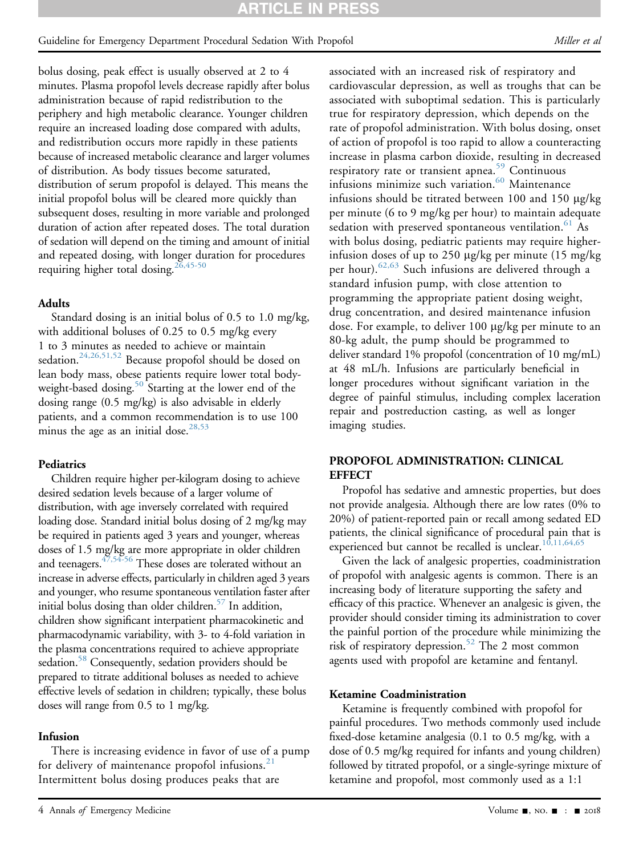## Guideline for Emergency Department Procedural Sedation With Propofol Miller et al. (*Miller et al.* (*Miller et al.*

bolus dosing, peak effect is usually observed at 2 to 4 minutes. Plasma propofol levels decrease rapidly after bolus administration because of rapid redistribution to the periphery and high metabolic clearance. Younger children require an increased loading dose compared with adults, and redistribution occurs more rapidly in these patients because of increased metabolic clearance and larger volumes of distribution. As body tissues become saturated, distribution of serum propofol is delayed. This means the initial propofol bolus will be cleared more quickly than subsequent doses, resulting in more variable and prolonged duration of action after repeated doses. The total duration of sedation will depend on the timing and amount of initial and repeated dosing, with longer duration for procedures requiring higher total dosing.  $^{26,45-50}$  $^{26,45-50}$  $^{26,45-50}$ 

#### Adults

Standard dosing is an initial bolus of 0.5 to 1.0 mg/kg, with additional boluses of 0.25 to 0.5 mg/kg every 1 to 3 minutes as needed to achieve or maintain sedation.<sup>24,26,51,52</sup> Because propofol should be dosed on lean body mass, obese patients require lower total bodyweight-based dosing.<sup>50</sup> Starting at the lower end of the dosing range (0.5 mg/kg) is also advisable in elderly patients, and a common recommendation is to use 100 minus the age as an initial dose.<sup>[28,53](#page-7-12)</sup>

# **Pediatrics**

Children require higher per-kilogram dosing to achieve desired sedation levels because of a larger volume of distribution, with age inversely correlated with required loading dose. Standard initial bolus dosing of 2 mg/kg may be required in patients aged 3 years and younger, whereas doses of 1.5 mg/kg are more appropriate in older children and teenagers. $47,54-56$  These doses are tolerated without an increase in adverse effects, particularly in children aged 3 years and younger, who resume spontaneous ventilation faster after initial bolus dosing than older children.<sup>57</sup> In addition, children show significant interpatient pharmacokinetic and pharmacodynamic variability, with 3- to 4-fold variation in the plasma concentrations required to achieve appropriate sedation.<sup>58</sup> Consequently, sedation providers should be prepared to titrate additional boluses as needed to achieve effective levels of sedation in children; typically, these bolus doses will range from 0.5 to 1 mg/kg.

# Infusion

There is increasing evidence in favor of use of a pump for delivery of maintenance propofol infusions. $21$ Intermittent bolus dosing produces peaks that are

associated with an increased risk of respiratory and cardiovascular depression, as well as troughs that can be associated with suboptimal sedation. This is particularly true for respiratory depression, which depends on the rate of propofol administration. With bolus dosing, onset of action of propofol is too rapid to allow a counteracting increase in plasma carbon dioxide, resulting in decreased respiratory rate or transient apnea.<sup>[59](#page-8-4)</sup> Continuous infusions minimize such variation. $^{60}$  $^{60}$  $^{60}$  Maintenance infusions should be titrated between 100 and 150  $\mu$ g/kg per minute (6 to 9 mg/kg per hour) to maintain adequate sedation with preserved spontaneous ventilation.<sup>[61](#page-8-6)</sup> As with bolus dosing, pediatric patients may require higherinfusion doses of up to 250  $\mu$ g/kg per minute (15 mg/kg) per hour).<sup>[62,63](#page-8-7)</sup> Such infusions are delivered through a standard infusion pump, with close attention to programming the appropriate patient dosing weight, drug concentration, and desired maintenance infusion dose. For example, to deliver 100 mg/kg per minute to an 80-kg adult, the pump should be programmed to deliver standard 1% propofol (concentration of 10 mg/mL) at 48 mL/h. Infusions are particularly beneficial in longer procedures without significant variation in the degree of painful stimulus, including complex laceration repair and postreduction casting, as well as longer imaging studies.

# PROPOFOL ADMINISTRATION: CLINICAL **EFFECT**

Propofol has sedative and amnestic properties, but does not provide analgesia. Although there are low rates (0% to 20%) of patient-reported pain or recall among sedated ED patients, the clinical significance of procedural pain that is experienced but cannot be recalled is unclear.<sup>[10,11,64,65](#page-7-14)</sup>

Given the lack of analgesic properties, coadministration of propofol with analgesic agents is common. There is an increasing body of literature supporting the safety and efficacy of this practice. Whenever an analgesic is given, the provider should consider timing its administration to cover the painful portion of the procedure while minimizing the risk of respiratory depression.<sup>[52](#page-8-8)</sup> The 2 most common agents used with propofol are ketamine and fentanyl.

# Ketamine Coadministration

Ketamine is frequently combined with propofol for painful procedures. Two methods commonly used include fixed-dose ketamine analgesia (0.1 to 0.5 mg/kg, with a dose of 0.5 mg/kg required for infants and young children) followed by titrated propofol, or a single-syringe mixture of ketamine and propofol, most commonly used as a 1:1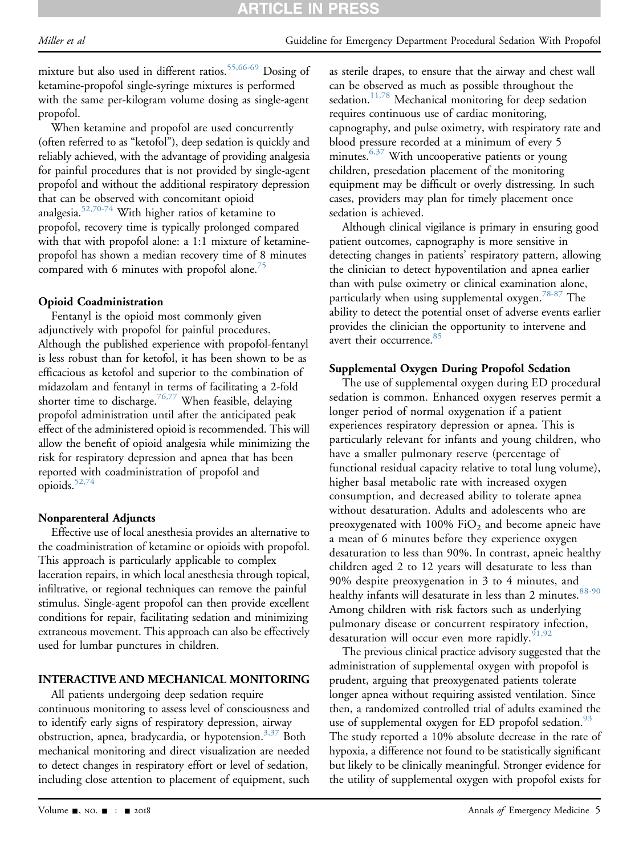mixture but also used in different ratios.<sup>[55,66-69](#page-8-9)</sup> Dosing of ketamine-propofol single-syringe mixtures is performed with the same per-kilogram volume dosing as single-agent propofol.

When ketamine and propofol are used concurrently (often referred to as "ketofol"), deep sedation is quickly and reliably achieved, with the advantage of providing analgesia for painful procedures that is not provided by single-agent propofol and without the additional respiratory depression that can be observed with concomitant opioid analgesia.[52,70-74](#page-8-8) With higher ratios of ketamine to propofol, recovery time is typically prolonged compared with that with propofol alone: a 1:1 mixture of ketaminepropofol has shown a median recovery time of 8 minutes compared with 6 minutes with propofol alone.<sup>[75](#page-8-10)</sup>

#### Opioid Coadministration

Fentanyl is the opioid most commonly given adjunctively with propofol for painful procedures. Although the published experience with propofol-fentanyl is less robust than for ketofol, it has been shown to be as efficacious as ketofol and superior to the combination of midazolam and fentanyl in terms of facilitating a 2-fold shorter time to discharge.<sup>[76,77](#page-8-11)</sup> When feasible, delaying propofol administration until after the anticipated peak effect of the administered opioid is recommended. This will allow the benefit of opioid analgesia while minimizing the risk for respiratory depression and apnea that has been reported with coadministration of propofol and opioids.<sup>52,74</sup>

#### Nonparenteral Adjuncts

Effective use of local anesthesia provides an alternative to the coadministration of ketamine or opioids with propofol. This approach is particularly applicable to complex laceration repairs, in which local anesthesia through topical, infiltrative, or regional techniques can remove the painful stimulus. Single-agent propofol can then provide excellent conditions for repair, facilitating sedation and minimizing extraneous movement. This approach can also be effectively used for lumbar punctures in children.

#### INTERACTIVE AND MECHANICAL MONITORING

All patients undergoing deep sedation require continuous monitoring to assess level of consciousness and to identify early signs of respiratory depression, airway obstruction, apnea, bradycardia, or hypotension.<sup>3,37</sup> Both mechanical monitoring and direct visualization are needed to detect changes in respiratory effort or level of sedation, including close attention to placement of equipment, such

as sterile drapes, to ensure that the airway and chest wall can be observed as much as possible throughout the sedation.<sup>[11,78](#page-7-15)</sup> Mechanical monitoring for deep sedation requires continuous use of cardiac monitoring, capnography, and pulse oximetry, with respiratory rate and blood pressure recorded at a minimum of every 5 minutes.  $6,37$  With uncooperative patients or young children, presedation placement of the monitoring equipment may be difficult or overly distressing. In such cases, providers may plan for timely placement once sedation is achieved.

Although clinical vigilance is primary in ensuring good patient outcomes, capnography is more sensitive in detecting changes in patients' respiratory pattern, allowing the clinician to detect hypoventilation and apnea earlier than with pulse oximetry or clinical examination alone, particularly when using supplemental oxygen.<sup>78-87</sup> The ability to detect the potential onset of adverse events earlier provides the clinician the opportunity to intervene and avert their occurrence.<sup>[85](#page-8-13)</sup>

#### Supplemental Oxygen During Propofol Sedation

The use of supplemental oxygen during ED procedural sedation is common. Enhanced oxygen reserves permit a longer period of normal oxygenation if a patient experiences respiratory depression or apnea. This is particularly relevant for infants and young children, who have a smaller pulmonary reserve (percentage of functional residual capacity relative to total lung volume), higher basal metabolic rate with increased oxygen consumption, and decreased ability to tolerate apnea without desaturation. Adults and adolescents who are preoxygenated with  $100\%$  FiO<sub>2</sub> and become apneic have a mean of 6 minutes before they experience oxygen desaturation to less than 90%. In contrast, apneic healthy children aged 2 to 12 years will desaturate to less than 90% despite preoxygenation in 3 to 4 minutes, and healthy infants will desaturate in less than 2 minutes.<sup>[88-90](#page-9-0)</sup> Among children with risk factors such as underlying pulmonary disease or concurrent respiratory infection, desaturation will occur even more rapidly.  $91,92$ 

The previous clinical practice advisory suggested that the administration of supplemental oxygen with propofol is prudent, arguing that preoxygenated patients tolerate longer apnea without requiring assisted ventilation. Since then, a randomized controlled trial of adults examined the use of supplemental oxygen for ED propofol sedation.<sup>[93](#page-9-2)</sup> The study reported a 10% absolute decrease in the rate of hypoxia, a difference not found to be statistically significant but likely to be clinically meaningful. Stronger evidence for the utility of supplemental oxygen with propofol exists for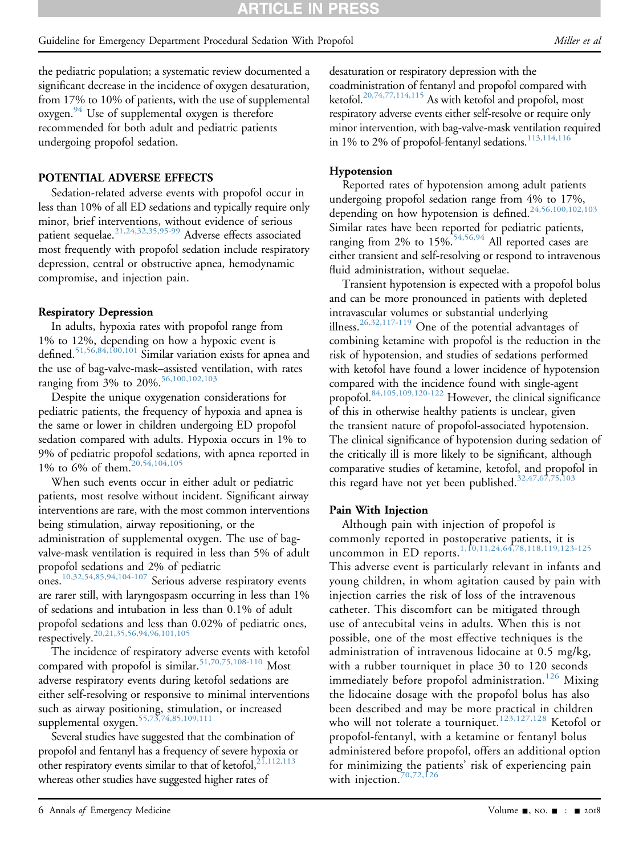the pediatric population; a systematic review documented a significant decrease in the incidence of oxygen desaturation, from 17% to 10% of patients, with the use of supplemental oxygen.<sup>94</sup> Use of supplemental oxygen is therefore recommended for both adult and pediatric patients undergoing propofol sedation.

# POTENTIAL ADVERSE EFFECTS

Sedation-related adverse events with propofol occur in less than 10% of all ED sedations and typically require only minor, brief interventions, without evidence of serious patient sequelae.<sup>[21,24,32,35,95-99](#page-7-13)</sup> Adverse effects associated most frequently with propofol sedation include respiratory depression, central or obstructive apnea, hemodynamic compromise, and injection pain.

# Respiratory Depression

In adults, hypoxia rates with propofol range from 1% to 12%, depending on how a hypoxic event is defined.[51,56,84,100,101](#page-8-14) Similar variation exists for apnea and the use of bag-valve-mask–assisted ventilation, with rates ranging from 3% to 20%.<sup>[56,100,102,103](#page-8-15)</sup>

Despite the unique oxygenation considerations for pediatric patients, the frequency of hypoxia and apnea is the same or lower in children undergoing ED propofol sedation compared with adults. Hypoxia occurs in 1% to 9% of pediatric propofol sedations, with apnea reported in 1% to 6% of them.[20,54,104,105](#page-7-4)

When such events occur in either adult or pediatric patients, most resolve without incident. Significant airway interventions are rare, with the most common interventions being stimulation, airway repositioning, or the administration of supplemental oxygen. The use of bagvalve-mask ventilation is required in less than 5% of adult propofol sedations and 2% of pediatric ones.[10,32,54,85,94,104-107](#page-7-14) Serious adverse respiratory events are rarer still, with laryngospasm occurring in less than 1% of sedations and intubation in less than 0.1% of adult propofol sedations and less than 0.02% of pediatric ones, respectively.<sup>[20,21,35,56,94,96,101,105](#page-7-4)</sup>

The incidence of respiratory adverse events with ketofol compared with propofol is similar.<sup>51,70,75,108-110</sup> Most adverse respiratory events during ketofol sedations are either self-resolving or responsive to minimal interventions such as airway positioning, stimulation, or increased supplemental oxygen.<sup>[55,73,74,85,109,111](#page-8-9)</sup>

Several studies have suggested that the combination of propofol and fentanyl has a frequency of severe hypoxia or other respiratory events similar to that of ketofol,<sup>[21,112,113](#page-7-13)</sup> whereas other studies have suggested higher rates of

desaturation or respiratory depression with the coadministration of fentanyl and propofol compared with ketofol[.20,74,77,114,115](#page-7-4) As with ketofol and propofol, most respiratory adverse events either self-resolve or require only minor intervention, with bag-valve-mask ventilation required in 1% to 2% of propofol-fentanyl sedations. $113,114,116$ 

# Hypotension

Reported rates of hypotension among adult patients undergoing propofol sedation range from 4% to 17%, depending on how hypotension is defined.[24,56,100,102,103](#page-7-5) Similar rates have been reported for pediatric patients, ranging from 2% to 15%.<sup>[54,56,94](#page-8-16)</sup> All reported cases are either transient and self-resolving or respond to intravenous fluid administration, without sequelae.

Transient hypotension is expected with a propofol bolus and can be more pronounced in patients with depleted intravascular volumes or substantial underlying illness[.26,32,117-119](#page-7-11) One of the potential advantages of combining ketamine with propofol is the reduction in the risk of hypotension, and studies of sedations performed with ketofol have found a lower incidence of hypotension compared with the incidence found with single-agent propofol[.84,105,109,120-122](#page-8-17) However, the clinical significance of this in otherwise healthy patients is unclear, given the transient nature of propofol-associated hypotension. The clinical significance of hypotension during sedation of the critically ill is more likely to be significant, although comparative studies of ketamine, ketofol, and propofol in this regard have not yet been published. $32,47,67,75,103$ 

# Pain With Injection

Although pain with injection of propofol is commonly reported in postoperative patients, it is uncommon in ED reports.<sup>[1,10,11,24,64,78,118,119,123-125](#page-6-0)</sup>

This adverse event is particularly relevant in infants and young children, in whom agitation caused by pain with injection carries the risk of loss of the intravenous catheter. This discomfort can be mitigated through use of antecubital veins in adults. When this is not possible, one of the most effective techniques is the administration of intravenous lidocaine at 0.5 mg/kg, with a rubber tourniquet in place 30 to 120 seconds immediately before propofol administration.<sup>[126](#page-9-5)</sup> Mixing the lidocaine dosage with the propofol bolus has also been described and may be more practical in children who will not tolerate a tourniquet.<sup>[123,127,128](#page-9-6)</sup> Ketofol or propofol-fentanyl, with a ketamine or fentanyl bolus administered before propofol, offers an additional option for minimizing the patients' risk of experiencing pain with injection.<sup>[70,72,126](#page-8-18)</sup>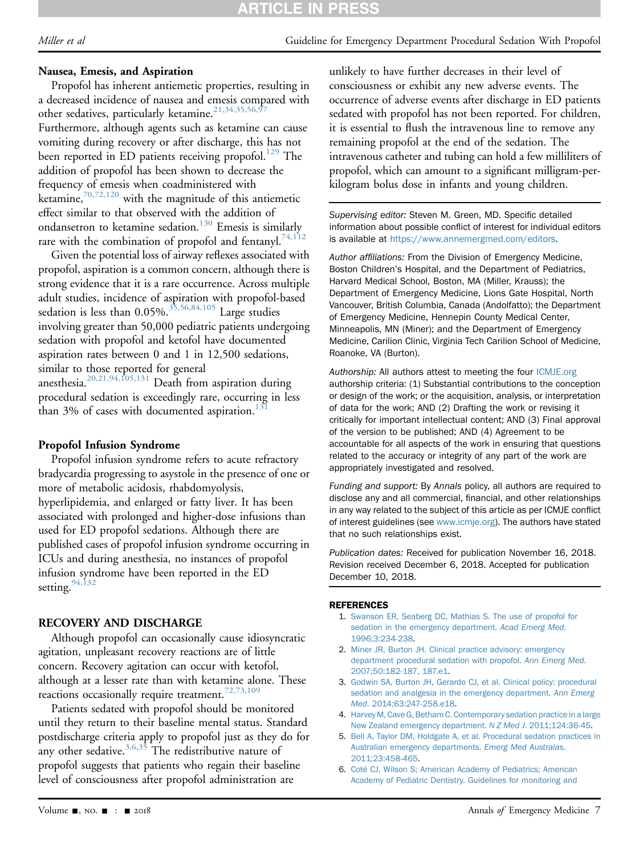# **ARTICLE IN PRESS**

#### Nausea, Emesis, and Aspiration

Propofol has inherent antiemetic properties, resulting in a decreased incidence of nausea and emesis compared with other sedatives, particularly ketamine.<sup>21,34,35,56,97</sup> Furthermore, although agents such as ketamine can cause vomiting during recovery or after discharge, this has not been reported in ED patients receiving propofol.<sup>129</sup> The

addition of propofol has been shown to decrease the frequency of emesis when coadministered with ketamine, $70,72,120$  with the magnitude of this antiemetic effect similar to that observed with the addition of ondansetron to ketamine sedation.<sup>130</sup> Emesis is similarly rare with the combination of propofol and fentanyl.<sup>[74,112](#page-8-19)</sup>

Given the potential loss of airway reflexes associated with propofol, aspiration is a common concern, although there is strong evidence that it is a rare occurrence. Across multiple adult studies, incidence of aspiration with propofol-based sedation is less than  $0.05\%$ .<sup>35,56,84,105</sup> Large studies involving greater than 50,000 pediatric patients undergoing sedation with propofol and ketofol have documented aspiration rates between 0 and 1 in 12,500 sedations, similar to those reported for general anesthesia[.20,21,94,105,131](#page-7-4) Death from aspiration during procedural sedation is exceedingly rare, occurring in less than 3% of cases with documented aspiration.<sup>1</sup>

#### Propofol Infusion Syndrome

Propofol infusion syndrome refers to acute refractory bradycardia progressing to asystole in the presence of one or more of metabolic acidosis, rhabdomyolysis, hyperlipidemia, and enlarged or fatty liver. It has been associated with prolonged and higher-dose infusions than used for ED propofol sedations. Although there are published cases of propofol infusion syndrome occurring in ICUs and during anesthesia, no instances of propofol infusion syndrome have been reported in the ED setting.  $94,132$ 

# RECOVERY AND DISCHARGE

Although propofol can occasionally cause idiosyncratic agitation, unpleasant recovery reactions are of little concern. Recovery agitation can occur with ketofol, although at a lesser rate than with ketamine alone. These reactions occasionally require treatment.<sup>[72,73,109](#page-8-20)</sup>

Patients sedated with propofol should be monitored until they return to their baseline mental status. Standard postdischarge criteria apply to propofol just as they do for any other sedative.<sup>3,6,35</sup> The redistributive nature of propofol suggests that patients who regain their baseline level of consciousness after propofol administration are

unlikely to have further decreases in their level of consciousness or exhibit any new adverse events. The occurrence of adverse events after discharge in ED patients sedated with propofol has not been reported. For children, it is essential to flush the intravenous line to remove any remaining propofol at the end of the sedation. The intravenous catheter and tubing can hold a few milliliters of propofol, which can amount to a significant milligram-perkilogram bolus dose in infants and young children.

Supervising editor: Steven M. Green, MD. Specific detailed information about possible conflict of interest for individual editors is available at [https://www.annemergmed.com/editors.](https://www.annemergmed.com/editors)

Author affiliations: From the Division of Emergency Medicine, Boston Children's Hospital, and the Department of Pediatrics, Harvard Medical School, Boston, MA (Miller, Krauss); the Department of Emergency Medicine, Lions Gate Hospital, North Vancouver, British Columbia, Canada (Andolfatto); the Department of Emergency Medicine, Hennepin County Medical Center, Minneapolis, MN (Miner); and the Department of Emergency Medicine, Carilion Clinic, Virginia Tech Carilion School of Medicine, Roanoke, VA (Burton).

Authorship: All authors attest to meeting the four [ICMJE.org](http://ICMJE.org) authorship criteria: (1) Substantial contributions to the conception or design of the work; or the acquisition, analysis, or interpretation of data for the work; AND (2) Drafting the work or revising it critically for important intellectual content; AND (3) Final approval of the version to be published; AND (4) Agreement to be accountable for all aspects of the work in ensuring that questions related to the accuracy or integrity of any part of the work are appropriately investigated and resolved.

Funding and support: By Annals policy, all authors are required to disclose any and all commercial, financial, and other relationships in any way related to the subject of this article as per ICMJE conflict of interest guidelines (see [www.icmje.org](http://www.icmje.org)). The authors have stated that no such relationships exist.

Publication dates: Received for publication November 16, 2018. Revision received December 6, 2018. Accepted for publication December 10, 2018.

#### **REFERENCES**

- <span id="page-6-4"></span><span id="page-6-3"></span><span id="page-6-2"></span><span id="page-6-1"></span><span id="page-6-0"></span>1. [Swanson ER, Seaberg DC, Mathias S. The use of propofol for](http://refhub.elsevier.com/S0196-0644(18)31576-2/sref1) [sedation in the emergency department.](http://refhub.elsevier.com/S0196-0644(18)31576-2/sref1) Acad Emerg Med. [1996;3:234-238](http://refhub.elsevier.com/S0196-0644(18)31576-2/sref1).
	- 2. [Miner JR, Burton JH. Clinical practice advisory: emergency](http://refhub.elsevier.com/S0196-0644(18)31576-2/sref2) [department procedural sedation with propofol.](http://refhub.elsevier.com/S0196-0644(18)31576-2/sref2) Ann Emerg Med. [2007;50:182-187, 187.e1](http://refhub.elsevier.com/S0196-0644(18)31576-2/sref2).
	- 3. [Godwin SA, Burton JH, Gerardo CJ, et al. Clinical policy: procedural](http://refhub.elsevier.com/S0196-0644(18)31576-2/sref3) [sedation and analgesia in the emergency department.](http://refhub.elsevier.com/S0196-0644(18)31576-2/sref3) Ann Emerg Med[. 2014;63:247-258.e18](http://refhub.elsevier.com/S0196-0644(18)31576-2/sref3).
	- 4. [Harvey M, Cave G, Betham C. Contemporary sedation practice in a large](http://refhub.elsevier.com/S0196-0644(18)31576-2/sref4) [New Zealand emergency department.](http://refhub.elsevier.com/S0196-0644(18)31576-2/sref4) N Z Med J. 2011;124:36-45.
	- 5. [Bell A, Taylor DM, Holdgate A, et al. Procedural sedation practices in](http://refhub.elsevier.com/S0196-0644(18)31576-2/sref5) [Australian emergency departments.](http://refhub.elsevier.com/S0196-0644(18)31576-2/sref5) Emerg Med Australas. [2011;23:458-465.](http://refhub.elsevier.com/S0196-0644(18)31576-2/sref5)
	- 6. [Coté CJ, Wilson S; American Academy of Pediatrics; American](http://refhub.elsevier.com/S0196-0644(18)31576-2/sref6) [Academy of Pediatric Dentistry. Guidelines for monitoring and](http://refhub.elsevier.com/S0196-0644(18)31576-2/sref6)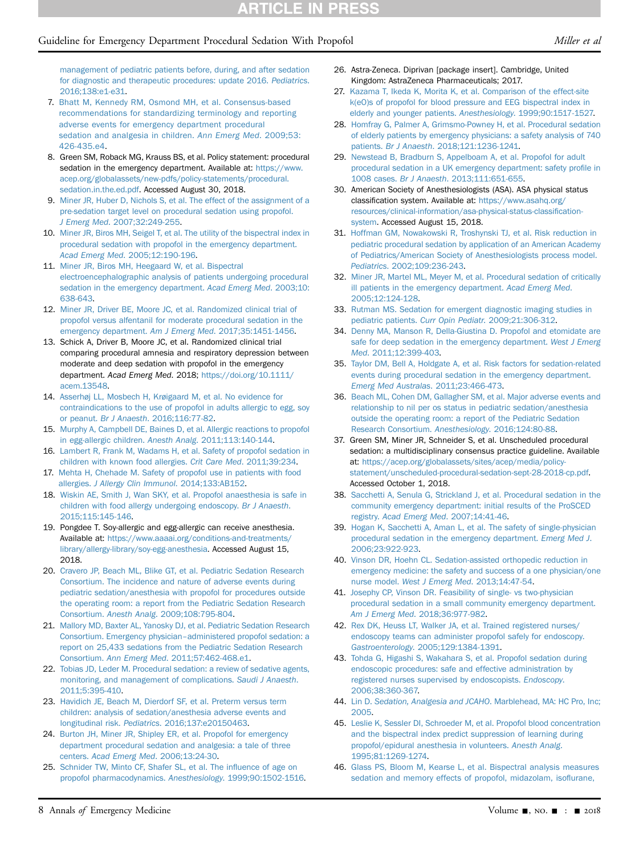# Guideline for Emergency Department Procedural Sedation With Propofol Miller et al

- 7. [Bhatt M, Kennedy RM, Osmond MH, et al. Consensus-based](http://refhub.elsevier.com/S0196-0644(18)31576-2/sref7) [recommendations for standardizing terminology and reporting](http://refhub.elsevier.com/S0196-0644(18)31576-2/sref7) [adverse events for emergency department procedural](http://refhub.elsevier.com/S0196-0644(18)31576-2/sref7) [sedation and analgesia in children.](http://refhub.elsevier.com/S0196-0644(18)31576-2/sref7) Ann Emerg Med. 2009;53: [426-435.e4](http://refhub.elsevier.com/S0196-0644(18)31576-2/sref7).
- 8. Green SM, Roback MG, Krauss BS, et al. Policy statement: procedural sedation in the emergency department. Available at: [https://www.](https://www.acep.org/globalassets/new-pdfs/policy-statements/procedural.sedation.in.the.ed.pdf) [acep.org/globalassets/new-pdfs/policy-statements/procedural.](https://www.acep.org/globalassets/new-pdfs/policy-statements/procedural.sedation.in.the.ed.pdf) [sedation.in.the.ed.pdf](https://www.acep.org/globalassets/new-pdfs/policy-statements/procedural.sedation.in.the.ed.pdf). Accessed August 30, 2018.
- <span id="page-7-0"></span>9. [Miner JR, Huber D, Nichols S, et al. The effect of the assignment of a](http://refhub.elsevier.com/S0196-0644(18)31576-2/sref9) [pre-sedation target level on procedural sedation using propofol.](http://refhub.elsevier.com/S0196-0644(18)31576-2/sref9) J Emerg Med[. 2007;32:249-255.](http://refhub.elsevier.com/S0196-0644(18)31576-2/sref9)
- <span id="page-7-14"></span>10. [Miner JR, Biros MH, Seigel T, et al. The utility of the bispectral index in](http://refhub.elsevier.com/S0196-0644(18)31576-2/sref10) [procedural sedation with propofol in the emergency department.](http://refhub.elsevier.com/S0196-0644(18)31576-2/sref10) Acad Emerg Med[. 2005;12:190-196](http://refhub.elsevier.com/S0196-0644(18)31576-2/sref10).
- <span id="page-7-15"></span>11. [Miner JR, Biros MH, Heegaard W, et al. Bispectral](http://refhub.elsevier.com/S0196-0644(18)31576-2/sref11) [electroencephalographic analysis of patients undergoing procedural](http://refhub.elsevier.com/S0196-0644(18)31576-2/sref11) [sedation in the emergency department.](http://refhub.elsevier.com/S0196-0644(18)31576-2/sref11) Acad Emerg Med. 2003;10: [638-643.](http://refhub.elsevier.com/S0196-0644(18)31576-2/sref11)
- 12. [Miner JR, Driver BE, Moore JC, et al. Randomized clinical trial of](http://refhub.elsevier.com/S0196-0644(18)31576-2/sref12) [propofol versus alfentanil for moderate procedural sedation in the](http://refhub.elsevier.com/S0196-0644(18)31576-2/sref12) [emergency department.](http://refhub.elsevier.com/S0196-0644(18)31576-2/sref12) Am J Emerg Med. 2017;35:1451-1456.
- 13. Schick A, Driver B, Moore JC, et al. Randomized clinical trial comparing procedural amnesia and respiratory depression between moderate and deep sedation with propofol in the emergency department. Acad Emerg Med. 2018; [https://doi.org/10.1111/](https://doi.org/10.1111/acem.13548) [acem.13548](https://doi.org/10.1111/acem.13548).
- <span id="page-7-1"></span>14. [Asserhøj LL, Mosbech H, Krøigaard M, et al. No evidence for](http://refhub.elsevier.com/S0196-0644(18)31576-2/sref14) [contraindications to the use of propofol in adults allergic to egg, soy](http://refhub.elsevier.com/S0196-0644(18)31576-2/sref14) or peanut. Br J Anaesth[. 2016;116:77-82](http://refhub.elsevier.com/S0196-0644(18)31576-2/sref14).
- <span id="page-7-2"></span>15. [Murphy A, Campbell DE, Baines D, et al. Allergic reactions to propofol](http://refhub.elsevier.com/S0196-0644(18)31576-2/sref15) [in egg-allergic children.](http://refhub.elsevier.com/S0196-0644(18)31576-2/sref15) Anesth Analg. 2011;113:140-144.
- 16. [Lambert R, Frank M, Wadams H, et al. Safety of propofol sedation in](http://refhub.elsevier.com/S0196-0644(18)31576-2/sref16) [children with known food allergies.](http://refhub.elsevier.com/S0196-0644(18)31576-2/sref16) Crit Care Med. 2011;39:234.
- 17. [Mehta H, Chehade M. Safety of propofol use in patients with food](http://refhub.elsevier.com/S0196-0644(18)31576-2/sref17) allergies. [J Allergy Clin Immunol](http://refhub.elsevier.com/S0196-0644(18)31576-2/sref17). 2014;133:AB152.
- 18. [Wiskin AE, Smith J, Wan SKY, et al. Propofol anaesthesia is safe in](http://refhub.elsevier.com/S0196-0644(18)31576-2/sref18) [children with food allergy undergoing endoscopy.](http://refhub.elsevier.com/S0196-0644(18)31576-2/sref18) Br J Anaesth. [2015;115:145-146](http://refhub.elsevier.com/S0196-0644(18)31576-2/sref18).
- <span id="page-7-3"></span>19. Pongdee T. Soy-allergic and egg-allergic can receive anesthesia. Available at: [https://www.aaaai.org/conditions-and-treatments/](https://www.aaaai.org/conditions-and-treatments/library/allergy-library/soy-egg-anesthesia) [library/allergy-library/soy-egg-anesthesia.](https://www.aaaai.org/conditions-and-treatments/library/allergy-library/soy-egg-anesthesia) Accessed August 15, 2018.
- <span id="page-7-4"></span>20. [Cravero JP, Beach ML, Blike GT, et al. Pediatric Sedation Research](http://refhub.elsevier.com/S0196-0644(18)31576-2/sref20) [Consortium. The incidence and nature of adverse events during](http://refhub.elsevier.com/S0196-0644(18)31576-2/sref20) [pediatric sedation/anesthesia with propofol for procedures outside](http://refhub.elsevier.com/S0196-0644(18)31576-2/sref20) [the operating room: a report from the Pediatric Sedation Research](http://refhub.elsevier.com/S0196-0644(18)31576-2/sref20) Consortium. Anesth Analg[. 2009;108:795-804](http://refhub.elsevier.com/S0196-0644(18)31576-2/sref20).
- <span id="page-7-13"></span>21. [Mallory MD, Baxter AL, Yanosky DJ, et al. Pediatric Sedation Research](http://refhub.elsevier.com/S0196-0644(18)31576-2/sref21) [Consortium. Emergency physician](http://refhub.elsevier.com/S0196-0644(18)31576-2/sref21)–[administered propofol sedation: a](http://refhub.elsevier.com/S0196-0644(18)31576-2/sref21) [report on 25,433 sedations from the Pediatric Sedation Research](http://refhub.elsevier.com/S0196-0644(18)31576-2/sref21) Consortium. Ann Emerg Med[. 2011;57:462-468.e1](http://refhub.elsevier.com/S0196-0644(18)31576-2/sref21).
- 22. [Tobias JD, Leder M. Procedural sedation: a review of sedative agents,](http://refhub.elsevier.com/S0196-0644(18)31576-2/sref22) [monitoring, and management of complications.](http://refhub.elsevier.com/S0196-0644(18)31576-2/sref22) Saudi J Anaesth. [2011;5:395-410.](http://refhub.elsevier.com/S0196-0644(18)31576-2/sref22)
- 23. [Havidich JE, Beach M, Dierdorf SF, et al. Preterm versus term](http://refhub.elsevier.com/S0196-0644(18)31576-2/sref23) [children: analysis of sedation/anesthesia adverse events and](http://refhub.elsevier.com/S0196-0644(18)31576-2/sref23) longitudinal risk. Pediatrics[. 2016;137:e20150463.](http://refhub.elsevier.com/S0196-0644(18)31576-2/sref23)
- <span id="page-7-5"></span>24. [Burton JH, Miner JR, Shipley ER, et al. Propofol for emergency](http://refhub.elsevier.com/S0196-0644(18)31576-2/sref24) [department procedural sedation and analgesia: a tale of three](http://refhub.elsevier.com/S0196-0644(18)31576-2/sref24) centers. [Acad Emerg Med](http://refhub.elsevier.com/S0196-0644(18)31576-2/sref24). 2006;13:24-30.
- 25. [Schnider TW, Minto CF, Shafer SL, et al. The in](http://refhub.elsevier.com/S0196-0644(18)31576-2/sref25)fluence of age on [propofol pharmacodynamics.](http://refhub.elsevier.com/S0196-0644(18)31576-2/sref25) Anesthesiology. 1999;90:1502-1516.
- <span id="page-7-11"></span>26. Astra-Zeneca. Diprivan [package insert]. Cambridge, United Kingdom: AstraZeneca Pharmaceuticals; 2017.
- 27. [Kazama T, Ikeda K, Morita K, et al. Comparison of the effect-site](http://refhub.elsevier.com/S0196-0644(18)31576-2/sref27) [k\(eO\)s of propofol for blood pressure and EEG bispectral index in](http://refhub.elsevier.com/S0196-0644(18)31576-2/sref27) [elderly and younger patients.](http://refhub.elsevier.com/S0196-0644(18)31576-2/sref27) Anesthesiology. 1999;90:1517-1527.
- <span id="page-7-12"></span>28. [Homfray G, Palmer A, Grimsmo-Powney H, et al. Procedural sedation](http://refhub.elsevier.com/S0196-0644(18)31576-2/sref28) [of elderly patients by emergency physicians: a safety analysis of 740](http://refhub.elsevier.com/S0196-0644(18)31576-2/sref28) patients. Br J Anaesth[. 2018;121:1236-1241.](http://refhub.elsevier.com/S0196-0644(18)31576-2/sref28)
- 29. [Newstead B, Bradburn S, Appelboam A, et al. Propofol for adult](http://refhub.elsevier.com/S0196-0644(18)31576-2/sref29) [procedural sedation in a UK emergency department: safety pro](http://refhub.elsevier.com/S0196-0644(18)31576-2/sref29)file in 1008 cases. Br J Anaesth[. 2013;111:651-655](http://refhub.elsevier.com/S0196-0644(18)31576-2/sref29).
- <span id="page-7-6"></span>30. American Society of Anesthesiologists (ASA). ASA physical status classification system. Available at: [https://www.asahq.org/](https://www.asahq.org/resources/clinical-information/asa-physical-status-classification-system) [resources/clinical-information/asa-physical-status-classi](https://www.asahq.org/resources/clinical-information/asa-physical-status-classification-system)fication[system.](https://www.asahq.org/resources/clinical-information/asa-physical-status-classification-system) Accessed August 15, 2018.
- 31. [Hoffman GM, Nowakowski R, Troshynski TJ, et al. Risk reduction in](http://refhub.elsevier.com/S0196-0644(18)31576-2/sref31) [pediatric procedural sedation by application of an American Academy](http://refhub.elsevier.com/S0196-0644(18)31576-2/sref31) [of Pediatrics/American Society of Anesthesiologists process model.](http://refhub.elsevier.com/S0196-0644(18)31576-2/sref31) Pediatrics[. 2002;109:236-243](http://refhub.elsevier.com/S0196-0644(18)31576-2/sref31).
- <span id="page-7-7"></span>32. [Miner JR, Martel ML, Meyer M, et al. Procedural sedation of critically](http://refhub.elsevier.com/S0196-0644(18)31576-2/sref32) [ill patients in the emergency department.](http://refhub.elsevier.com/S0196-0644(18)31576-2/sref32) Acad Emerg Med. [2005;12:124-128.](http://refhub.elsevier.com/S0196-0644(18)31576-2/sref32)
- 33. [Rutman MS. Sedation for emergent diagnostic imaging studies in](http://refhub.elsevier.com/S0196-0644(18)31576-2/sref33) pediatric patients. Curr Opin Pediatr[. 2009;21:306-312](http://refhub.elsevier.com/S0196-0644(18)31576-2/sref33).
- 34. [Denny MA, Manson R, Della-Giustina D. Propofol and etomidate are](http://refhub.elsevier.com/S0196-0644(18)31576-2/sref34) [safe for deep sedation in the emergency department.](http://refhub.elsevier.com/S0196-0644(18)31576-2/sref34) West J Emerg Med[. 2011;12:399-403](http://refhub.elsevier.com/S0196-0644(18)31576-2/sref34).
- <span id="page-7-16"></span>35. [Taylor DM, Bell A, Holdgate A, et al. Risk factors for sedation-related](http://refhub.elsevier.com/S0196-0644(18)31576-2/sref35) [events during procedural sedation in the emergency department.](http://refhub.elsevier.com/S0196-0644(18)31576-2/sref35) [Emerg Med Australas](http://refhub.elsevier.com/S0196-0644(18)31576-2/sref35). 2011;23:466-473.
- 36. [Beach ML, Cohen DM, Gallagher SM, et al. Major adverse events and](http://refhub.elsevier.com/S0196-0644(18)31576-2/sref36) [relationship to nil per os status in pediatric sedation/anesthesia](http://refhub.elsevier.com/S0196-0644(18)31576-2/sref36) [outside the operating room: a report of the Pediatric Sedation](http://refhub.elsevier.com/S0196-0644(18)31576-2/sref36) [Research Consortium.](http://refhub.elsevier.com/S0196-0644(18)31576-2/sref36) Anesthesiology. 2016;124:80-88.
- <span id="page-7-8"></span>37. Green SM, Miner JR, Schneider S, et al. Unscheduled procedural sedation: a multidisciplinary consensus practice guideline. Available at: [https://acep.org/globalassets/sites/acep/media/policy](https://acep.org/globalassets/sites/acep/media/policy-statement/unscheduled-procedural-sedation-sept-28-2018-cp.pdf)[statement/unscheduled-procedural-sedation-sept-28-2018-cp.pdf.](https://acep.org/globalassets/sites/acep/media/policy-statement/unscheduled-procedural-sedation-sept-28-2018-cp.pdf) Accessed October 1, 2018.
- <span id="page-7-9"></span>38. [Sacchetti A, Senula G, Strickland J, et al. Procedural sedation in the](http://refhub.elsevier.com/S0196-0644(18)31576-2/sref38) [community emergency department: initial results of the ProSCED](http://refhub.elsevier.com/S0196-0644(18)31576-2/sref38) registry. [Acad Emerg Med](http://refhub.elsevier.com/S0196-0644(18)31576-2/sref38). 2007;14:41-46.
- 39. [Hogan K, Sacchetti A, Aman L, et al. The safety of single-physician](http://refhub.elsevier.com/S0196-0644(18)31576-2/sref39) [procedural sedation in the emergency department.](http://refhub.elsevier.com/S0196-0644(18)31576-2/sref39) Emerg Med J. [2006;23:922-923](http://refhub.elsevier.com/S0196-0644(18)31576-2/sref39).
- 40. [Vinson DR, Hoehn CL. Sedation-assisted orthopedic reduction in](http://refhub.elsevier.com/S0196-0644(18)31576-2/sref40) [emergency medicine: the safety and success of a one physician/one](http://refhub.elsevier.com/S0196-0644(18)31576-2/sref40) nurse model. [West J Emerg Med](http://refhub.elsevier.com/S0196-0644(18)31576-2/sref40). 2013;14:47-54.
- 41. [Josephy CP, Vinson DR. Feasibility of single- vs two-physician](http://refhub.elsevier.com/S0196-0644(18)31576-2/sref41) [procedural sedation in a small community emergency department.](http://refhub.elsevier.com/S0196-0644(18)31576-2/sref41) Am J Emerg Med[. 2018;36:977-982](http://refhub.elsevier.com/S0196-0644(18)31576-2/sref41).
- <span id="page-7-10"></span>42. [Rex DK, Heuss LT, Walker JA, et al. Trained registered nurses/](http://refhub.elsevier.com/S0196-0644(18)31576-2/sref42) [endoscopy teams can administer propofol safely for endoscopy.](http://refhub.elsevier.com/S0196-0644(18)31576-2/sref42) Gastroenterology[. 2005;129:1384-1391.](http://refhub.elsevier.com/S0196-0644(18)31576-2/sref42)
- 43. [Tohda G, Higashi S, Wakahara S, et al. Propofol sedation during](http://refhub.elsevier.com/S0196-0644(18)31576-2/sref43) [endoscopic procedures: safe and effective administration by](http://refhub.elsevier.com/S0196-0644(18)31576-2/sref43) [registered nurses supervised by endoscopists.](http://refhub.elsevier.com/S0196-0644(18)31576-2/sref43) Endoscopy. [2006;38:360-367.](http://refhub.elsevier.com/S0196-0644(18)31576-2/sref43)
- 44. Lin D. [Sedation, Analgesia and JCAHO](http://refhub.elsevier.com/S0196-0644(18)31576-2/sref44). Marblehead, MA: HC Pro, Inc; [2005](http://refhub.elsevier.com/S0196-0644(18)31576-2/sref44).
- 45. [Leslie K, Sessler DI, Schroeder M, et al. Propofol blood concentration](http://refhub.elsevier.com/S0196-0644(18)31576-2/sref45) [and the bispectral index predict suppression of learning during](http://refhub.elsevier.com/S0196-0644(18)31576-2/sref45) [propofol/epidural anesthesia in volunteers.](http://refhub.elsevier.com/S0196-0644(18)31576-2/sref45) Anesth Analg. [1995;81:1269-1274.](http://refhub.elsevier.com/S0196-0644(18)31576-2/sref45)
- 46. [Glass PS, Bloom M, Kearse L, et al. Bispectral analysis measures](http://refhub.elsevier.com/S0196-0644(18)31576-2/sref46) [sedation and memory effects of propofol, midazolam, iso](http://refhub.elsevier.com/S0196-0644(18)31576-2/sref46)flurane,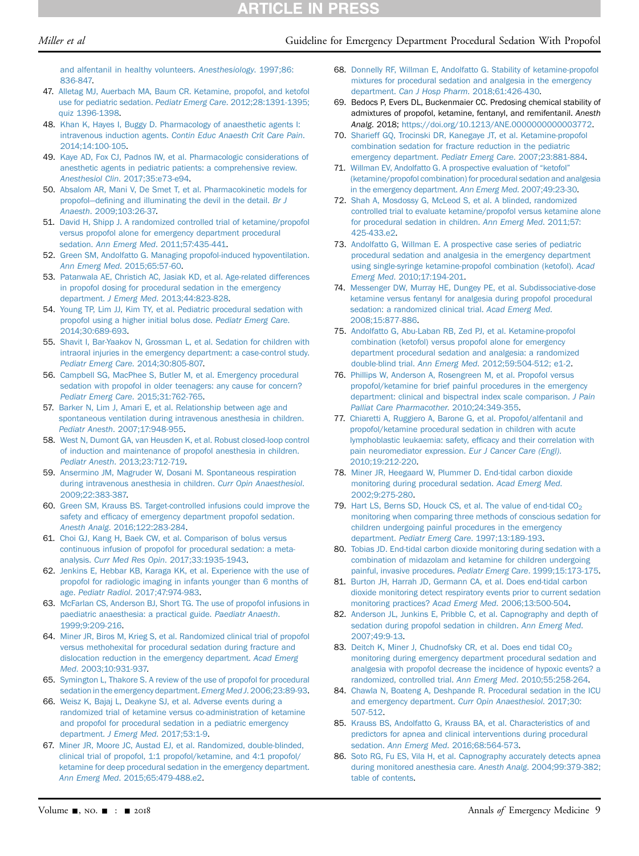#### Miller et al Cuideline for Emergency Department Procedural Sedation With Propofol

[and alfentanil in healthy volunteers.](http://refhub.elsevier.com/S0196-0644(18)31576-2/sref46) Anesthesiology. 1997;86: [836-847.](http://refhub.elsevier.com/S0196-0644(18)31576-2/sref46)

- <span id="page-8-1"></span>47. [Alletag MJ, Auerbach MA, Baum CR. Ketamine, propofol, and ketofol](http://refhub.elsevier.com/S0196-0644(18)31576-2/sref47) [use for pediatric sedation.](http://refhub.elsevier.com/S0196-0644(18)31576-2/sref47) Pediatr Emerg Care. 2012;28:1391-1395; [quiz 1396-1398](http://refhub.elsevier.com/S0196-0644(18)31576-2/sref47).
- 48. [Khan K, Hayes I, Buggy D. Pharmacology of anaesthetic agents I:](http://refhub.elsevier.com/S0196-0644(18)31576-2/sref48) intravenous induction agents. [Contin Educ Anaesth Crit Care Pain](http://refhub.elsevier.com/S0196-0644(18)31576-2/sref48). [2014;14:100-105](http://refhub.elsevier.com/S0196-0644(18)31576-2/sref48).
- 49. [Kaye AD, Fox CJ, Padnos IW, et al. Pharmacologic considerations of](http://refhub.elsevier.com/S0196-0644(18)31576-2/sref49) [anesthetic agents in pediatric patients: a comprehensive review.](http://refhub.elsevier.com/S0196-0644(18)31576-2/sref49) Anesthesiol Clin[. 2017;35:e73-e94](http://refhub.elsevier.com/S0196-0644(18)31576-2/sref49).
- <span id="page-8-0"></span>50. [Absalom AR, Mani V, De Smet T, et al. Pharmacokinetic models for](http://refhub.elsevier.com/S0196-0644(18)31576-2/sref50) [propofol](http://refhub.elsevier.com/S0196-0644(18)31576-2/sref50)—defi[ning and illuminating the devil in the detail.](http://refhub.elsevier.com/S0196-0644(18)31576-2/sref50) Br J Anaesth[. 2009;103:26-37.](http://refhub.elsevier.com/S0196-0644(18)31576-2/sref50)
- <span id="page-8-14"></span>51. [David H, Shipp J. A randomized controlled trial of ketamine/propofol](http://refhub.elsevier.com/S0196-0644(18)31576-2/sref51) [versus propofol alone for emergency department procedural](http://refhub.elsevier.com/S0196-0644(18)31576-2/sref51) sedation. Ann Emerg Med[. 2011;57:435-441.](http://refhub.elsevier.com/S0196-0644(18)31576-2/sref51)
- <span id="page-8-8"></span>52. [Green SM, Andolfatto G. Managing propofol-induced hypoventilation.](http://refhub.elsevier.com/S0196-0644(18)31576-2/sref52) Ann Emerg Med[. 2015;65:57-60.](http://refhub.elsevier.com/S0196-0644(18)31576-2/sref52)
- 53. [Patanwala AE, Christich AC, Jasiak KD, et al. Age-related differences](http://refhub.elsevier.com/S0196-0644(18)31576-2/sref53) [in propofol dosing for procedural sedation in the emergency](http://refhub.elsevier.com/S0196-0644(18)31576-2/sref53) department. J Emerg Med[. 2013;44:823-828](http://refhub.elsevier.com/S0196-0644(18)31576-2/sref53).
- <span id="page-8-16"></span>54. [Young TP, Lim JJ, Kim TY, et al. Pediatric procedural sedation with](http://refhub.elsevier.com/S0196-0644(18)31576-2/sref54) [propofol using a higher initial bolus dose.](http://refhub.elsevier.com/S0196-0644(18)31576-2/sref54) Pediatr Emerg Care. [2014;30:689-693](http://refhub.elsevier.com/S0196-0644(18)31576-2/sref54).
- <span id="page-8-9"></span>55. [Shavit I, Bar-Yaakov N, Grossman L, et al. Sedation for children with](http://refhub.elsevier.com/S0196-0644(18)31576-2/sref55) [intraoral injuries in the emergency department: a case-control study.](http://refhub.elsevier.com/S0196-0644(18)31576-2/sref55) [Pediatr Emerg Care](http://refhub.elsevier.com/S0196-0644(18)31576-2/sref55). 2014;30:805-807.
- <span id="page-8-15"></span>56. [Campbell SG, MacPhee S, Butler M, et al. Emergency procedural](http://refhub.elsevier.com/S0196-0644(18)31576-2/sref56) [sedation with propofol in older teenagers: any cause for concern?](http://refhub.elsevier.com/S0196-0644(18)31576-2/sref56) [Pediatr Emerg Care](http://refhub.elsevier.com/S0196-0644(18)31576-2/sref56). 2015;31:762-765.
- <span id="page-8-2"></span>57. [Barker N, Lim J, Amari E, et al. Relationship between age and](http://refhub.elsevier.com/S0196-0644(18)31576-2/sref57) [spontaneous ventilation during intravenous anesthesia in children.](http://refhub.elsevier.com/S0196-0644(18)31576-2/sref57) Pediatr Anesth[. 2007;17:948-955](http://refhub.elsevier.com/S0196-0644(18)31576-2/sref57).
- <span id="page-8-3"></span>58. [West N, Dumont GA, van Heusden K, et al. Robust closed-loop control](http://refhub.elsevier.com/S0196-0644(18)31576-2/sref58) [of induction and maintenance of propofol anesthesia in children.](http://refhub.elsevier.com/S0196-0644(18)31576-2/sref58) Pediatr Anesth[. 2013;23:712-719](http://refhub.elsevier.com/S0196-0644(18)31576-2/sref58).
- <span id="page-8-4"></span>59. [Ansermino JM, Magruder W, Dosani M. Spontaneous respiration](http://refhub.elsevier.com/S0196-0644(18)31576-2/sref59) [during intravenous anesthesia in children.](http://refhub.elsevier.com/S0196-0644(18)31576-2/sref59) Curr Opin Anaesthesiol. [2009;22:383-387.](http://refhub.elsevier.com/S0196-0644(18)31576-2/sref59)
- <span id="page-8-5"></span>60. [Green SM, Krauss BS. Target-controlled infusions could improve the](http://refhub.elsevier.com/S0196-0644(18)31576-2/sref60) safety and effi[cacy of emergency department propofol sedation.](http://refhub.elsevier.com/S0196-0644(18)31576-2/sref60) Anesth Analg[. 2016;122:283-284.](http://refhub.elsevier.com/S0196-0644(18)31576-2/sref60)
- <span id="page-8-6"></span>61. [Choi GJ, Kang H, Baek CW, et al. Comparison of bolus versus](http://refhub.elsevier.com/S0196-0644(18)31576-2/sref61) [continuous infusion of propofol for procedural sedation: a meta](http://refhub.elsevier.com/S0196-0644(18)31576-2/sref61)analysis. Curr Med Res Opin[. 2017;33:1935-1943.](http://refhub.elsevier.com/S0196-0644(18)31576-2/sref61)
- <span id="page-8-7"></span>62. [Jenkins E, Hebbar KB, Karaga KK, et al. Experience with the use of](http://refhub.elsevier.com/S0196-0644(18)31576-2/sref62) [propofol for radiologic imaging in infants younger than 6 months of](http://refhub.elsevier.com/S0196-0644(18)31576-2/sref62) age. Pediatr Radiol[. 2017;47:974-983](http://refhub.elsevier.com/S0196-0644(18)31576-2/sref62).
- 63. [McFarlan CS, Anderson BJ, Short TG. The use of propofol infusions in](http://refhub.elsevier.com/S0196-0644(18)31576-2/sref63) [paediatric anaesthesia: a practical guide.](http://refhub.elsevier.com/S0196-0644(18)31576-2/sref63) Paediatr Anaesth. [1999;9:209-216](http://refhub.elsevier.com/S0196-0644(18)31576-2/sref63).
- 64. [Miner JR, Biros M, Krieg S, et al. Randomized clinical trial of propofol](http://refhub.elsevier.com/S0196-0644(18)31576-2/sref64) [versus methohexital for procedural sedation during fracture and](http://refhub.elsevier.com/S0196-0644(18)31576-2/sref64) [dislocation reduction in the emergency department.](http://refhub.elsevier.com/S0196-0644(18)31576-2/sref64) Acad Emerg Med[. 2003;10:931-937.](http://refhub.elsevier.com/S0196-0644(18)31576-2/sref64)
- 65. [Symington L, Thakore S. A review of the use of propofol for procedural](http://refhub.elsevier.com/S0196-0644(18)31576-2/sref65) [sedation in the emergency department.](http://refhub.elsevier.com/S0196-0644(18)31576-2/sref65) Emerg Med J. 2006;23:89-93.
- 66. [Weisz K, Bajaj L, Deakyne SJ, et al. Adverse events during a](http://refhub.elsevier.com/S0196-0644(18)31576-2/sref66) [randomized trial of ketamine versus co-administration of ketamine](http://refhub.elsevier.com/S0196-0644(18)31576-2/sref66) [and propofol for procedural sedation in a pediatric emergency](http://refhub.elsevier.com/S0196-0644(18)31576-2/sref66) department. J Emerg Med[. 2017;53:1-9](http://refhub.elsevier.com/S0196-0644(18)31576-2/sref66).
- 67. [Miner JR, Moore JC, Austad EJ, et al. Randomized, double-blinded,](http://refhub.elsevier.com/S0196-0644(18)31576-2/sref67) [clinical trial of propofol, 1:1 propofol/ketamine, and 4:1 propofol/](http://refhub.elsevier.com/S0196-0644(18)31576-2/sref67) [ketamine for deep procedural sedation in the emergency department.](http://refhub.elsevier.com/S0196-0644(18)31576-2/sref67) Ann Emerg Med[. 2015;65:479-488.e2.](http://refhub.elsevier.com/S0196-0644(18)31576-2/sref67)
- 68. [Donnelly RF, Willman E, Andolfatto G. Stability of ketamine-propofol](http://refhub.elsevier.com/S0196-0644(18)31576-2/sref68) [mixtures for procedural sedation and analgesia in the emergency](http://refhub.elsevier.com/S0196-0644(18)31576-2/sref68) department. Can J Hosp Pharm[. 2018;61:426-430.](http://refhub.elsevier.com/S0196-0644(18)31576-2/sref68)
- 69. Bedocs P, Evers DL, Buckenmaier CC. Predosing chemical stability of admixtures of propofol, ketamine, fentanyl, and remifentanil. Anesth Analg. 2018; <https://doi.org/10.1213/ANE.0000000000003772>.
- <span id="page-8-18"></span>70. [Sharieff GQ, Trocinski DR, Kanegaye JT, et al. Ketamine-propofol](http://refhub.elsevier.com/S0196-0644(18)31576-2/sref70) [combination sedation for fracture reduction in the pediatric](http://refhub.elsevier.com/S0196-0644(18)31576-2/sref70) [emergency department.](http://refhub.elsevier.com/S0196-0644(18)31576-2/sref70) Pediatr Emerg Care. 2007;23:881-884.
- 71. [Willman EV, Andolfatto G. A prospective evaluation of](http://refhub.elsevier.com/S0196-0644(18)31576-2/sref71) "ketofol" [\(ketamine/propofol combination\) for procedural sedation and analgesia](http://refhub.elsevier.com/S0196-0644(18)31576-2/sref71) [in the emergency department.](http://refhub.elsevier.com/S0196-0644(18)31576-2/sref71) Ann Emerg Med. 2007;49:23-30.
- <span id="page-8-20"></span>72. [Shah A, Mosdossy G, McLeod S, et al. A blinded, randomized](http://refhub.elsevier.com/S0196-0644(18)31576-2/sref72) [controlled trial to evaluate ketamine/propofol versus ketamine alone](http://refhub.elsevier.com/S0196-0644(18)31576-2/sref72) [for procedural sedation in children.](http://refhub.elsevier.com/S0196-0644(18)31576-2/sref72) Ann Emerg Med. 2011;57: [425-433.e2](http://refhub.elsevier.com/S0196-0644(18)31576-2/sref72).
- 73. [Andolfatto G, Willman E. A prospective case series of pediatric](http://refhub.elsevier.com/S0196-0644(18)31576-2/sref73) [procedural sedation and analgesia in the emergency department](http://refhub.elsevier.com/S0196-0644(18)31576-2/sref73) [using single-syringe ketamine-propofol combination \(ketofol\).](http://refhub.elsevier.com/S0196-0644(18)31576-2/sref73) Acad Emerg Med[. 2010;17:194-201.](http://refhub.elsevier.com/S0196-0644(18)31576-2/sref73)
- <span id="page-8-19"></span>74. [Messenger DW, Murray HE, Dungey PE, et al. Subdissociative-dose](http://refhub.elsevier.com/S0196-0644(18)31576-2/sref74) [ketamine versus fentanyl for analgesia during propofol procedural](http://refhub.elsevier.com/S0196-0644(18)31576-2/sref74) [sedation: a randomized clinical trial.](http://refhub.elsevier.com/S0196-0644(18)31576-2/sref74) Acad Emerg Med. [2008;15:877-886.](http://refhub.elsevier.com/S0196-0644(18)31576-2/sref74)
- <span id="page-8-10"></span>75. [Andolfatto G, Abu-Laban RB, Zed PJ, et al. Ketamine-propofol](http://refhub.elsevier.com/S0196-0644(18)31576-2/sref75) [combination \(ketofol\) versus propofol alone for emergency](http://refhub.elsevier.com/S0196-0644(18)31576-2/sref75) [department procedural sedation and analgesia: a randomized](http://refhub.elsevier.com/S0196-0644(18)31576-2/sref75) double-blind trial. Ann Emerg Med[. 2012;59:504-512; e1-2.](http://refhub.elsevier.com/S0196-0644(18)31576-2/sref75)
- <span id="page-8-11"></span>76. [Phillips W, Anderson A, Rosengreen M, et al. Propofol versus](http://refhub.elsevier.com/S0196-0644(18)31576-2/sref76) [propofol/ketamine for brief painful procedures in the emergency](http://refhub.elsevier.com/S0196-0644(18)31576-2/sref76) [department: clinical and bispectral index scale comparison.](http://refhub.elsevier.com/S0196-0644(18)31576-2/sref76) J Pain [Palliat Care Pharmacother](http://refhub.elsevier.com/S0196-0644(18)31576-2/sref76). 2010;24:349-355.
- 77. [Chiaretti A, Ruggiero A, Barone G, et al. Propofol/alfentanil and](http://refhub.elsevier.com/S0196-0644(18)31576-2/sref77) [propofol/ketamine procedural sedation in children with acute](http://refhub.elsevier.com/S0196-0644(18)31576-2/sref77) [lymphoblastic leukaemia: safety, ef](http://refhub.elsevier.com/S0196-0644(18)31576-2/sref77)ficacy and their correlation with [pain neuromediator expression.](http://refhub.elsevier.com/S0196-0644(18)31576-2/sref77) Eur J Cancer Care (Engl). [2010;19:212-220](http://refhub.elsevier.com/S0196-0644(18)31576-2/sref77).
- <span id="page-8-12"></span>78. [Miner JR, Heegaard W, Plummer D. End-tidal carbon dioxide](http://refhub.elsevier.com/S0196-0644(18)31576-2/sref78) [monitoring during procedural sedation.](http://refhub.elsevier.com/S0196-0644(18)31576-2/sref78) Acad Emerg Med. [2002;9:275-280](http://refhub.elsevier.com/S0196-0644(18)31576-2/sref78).
- 79. Hart LS, Berns SD, Houck CS, et al. The value of end-tidal  $CO<sub>2</sub>$ [monitoring when comparing three methods of conscious sedation for](http://refhub.elsevier.com/S0196-0644(18)31576-2/sref79) [children undergoing painful procedures in the emergency](http://refhub.elsevier.com/S0196-0644(18)31576-2/sref79) department. [Pediatr Emerg Care](http://refhub.elsevier.com/S0196-0644(18)31576-2/sref79). 1997;13:189-193.
- 80. [Tobias JD. End-tidal carbon dioxide monitoring during sedation with a](http://refhub.elsevier.com/S0196-0644(18)31576-2/sref80) [combination of midazolam and ketamine for children undergoing](http://refhub.elsevier.com/S0196-0644(18)31576-2/sref80) [painful, invasive procedures.](http://refhub.elsevier.com/S0196-0644(18)31576-2/sref80) Pediatr Emerg Care. 1999;15:173-175.
- 81. [Burton JH, Harrah JD, Germann CA, et al. Does end-tidal carbon](http://refhub.elsevier.com/S0196-0644(18)31576-2/sref81) [dioxide monitoring detect respiratory events prior to current sedation](http://refhub.elsevier.com/S0196-0644(18)31576-2/sref81) [monitoring practices?](http://refhub.elsevier.com/S0196-0644(18)31576-2/sref81) Acad Emerg Med. 2006;13:500-504.
- 82. [Anderson JL, Junkins E, Pribble C, et al. Capnography and depth of](http://refhub.elsevier.com/S0196-0644(18)31576-2/sref82) [sedation during propofol sedation in children.](http://refhub.elsevier.com/S0196-0644(18)31576-2/sref82) Ann Emerg Med. [2007;49:9-13.](http://refhub.elsevier.com/S0196-0644(18)31576-2/sref82)
- 83. Deitch K, Miner J, Chudnofsky CR, et al. Does end tidal CO<sub>2</sub> [monitoring during emergency department procedural sedation and](http://refhub.elsevier.com/S0196-0644(18)31576-2/sref83) [analgesia with propofol decrease the incidence of hypoxic events? a](http://refhub.elsevier.com/S0196-0644(18)31576-2/sref83) [randomized, controlled trial.](http://refhub.elsevier.com/S0196-0644(18)31576-2/sref83) Ann Emerg Med. 2010;55:258-264.
- <span id="page-8-17"></span>84. [Chawla N, Boateng A, Deshpande R. Procedural sedation in the ICU](http://refhub.elsevier.com/S0196-0644(18)31576-2/sref84) [and emergency department.](http://refhub.elsevier.com/S0196-0644(18)31576-2/sref84) Curr Opin Anaesthesiol. 2017;30: [507-512.](http://refhub.elsevier.com/S0196-0644(18)31576-2/sref84)
- <span id="page-8-13"></span>85. [Krauss BS, Andolfatto G, Krauss BA, et al. Characteristics of and](http://refhub.elsevier.com/S0196-0644(18)31576-2/sref85) [predictors for apnea and clinical interventions during procedural](http://refhub.elsevier.com/S0196-0644(18)31576-2/sref85) sedation. Ann Emerg Med[. 2016;68:564-573.](http://refhub.elsevier.com/S0196-0644(18)31576-2/sref85)
- 86. [Soto RG, Fu ES, Vila H, et al. Capnography accurately detects apnea](http://refhub.elsevier.com/S0196-0644(18)31576-2/sref86) [during monitored anesthesia care.](http://refhub.elsevier.com/S0196-0644(18)31576-2/sref86) Anesth Analg. 2004;99:379-382; [table of contents.](http://refhub.elsevier.com/S0196-0644(18)31576-2/sref86)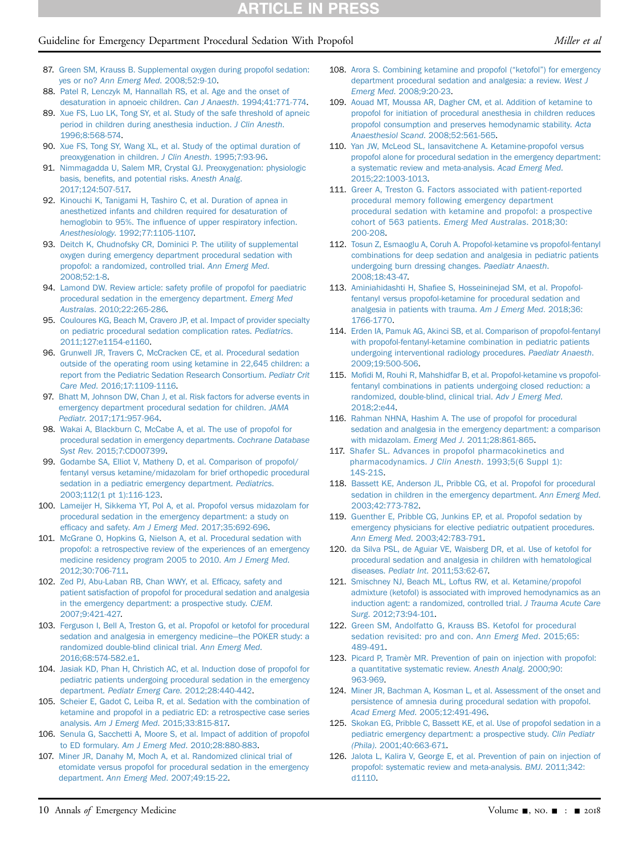# Guideline for Emergency Department Procedural Sedation With Propofol Miller et al

- 87. [Green SM, Krauss B. Supplemental oxygen during propofol sedation:](http://refhub.elsevier.com/S0196-0644(18)31576-2/sref87) yes or no? [Ann Emerg Med](http://refhub.elsevier.com/S0196-0644(18)31576-2/sref87). 2008;52:9-10.
- <span id="page-9-0"></span>88. [Patel R, Lenczyk M, Hannallah RS, et al. Age and the onset of](http://refhub.elsevier.com/S0196-0644(18)31576-2/sref88) [desaturation in apnoeic children.](http://refhub.elsevier.com/S0196-0644(18)31576-2/sref88) Can J Anaesth. 1994;41:771-774.
- 89. [Xue FS, Luo LK, Tong SY, et al. Study of the safe threshold of apneic](http://refhub.elsevier.com/S0196-0644(18)31576-2/sref89) [period in children during anesthesia induction.](http://refhub.elsevier.com/S0196-0644(18)31576-2/sref89) J Clin Anesth. [1996;8:568-574.](http://refhub.elsevier.com/S0196-0644(18)31576-2/sref89)
- 90. [Xue FS, Tong SY, Wang XL, et al. Study of the optimal duration of](http://refhub.elsevier.com/S0196-0644(18)31576-2/sref90) [preoxygenation in children.](http://refhub.elsevier.com/S0196-0644(18)31576-2/sref90) J Clin Anesth. 1995;7:93-96.
- <span id="page-9-1"></span>91. [Nimmagadda U, Salem MR, Crystal GJ. Preoxygenation: physiologic](http://refhub.elsevier.com/S0196-0644(18)31576-2/sref91) basis, benefi[ts, and potential risks.](http://refhub.elsevier.com/S0196-0644(18)31576-2/sref91) Anesth Analg. [2017;124:507-517.](http://refhub.elsevier.com/S0196-0644(18)31576-2/sref91)
- 92. [Kinouchi K, Tanigami H, Tashiro C, et al. Duration of apnea in](http://refhub.elsevier.com/S0196-0644(18)31576-2/sref92) [anesthetized infants and children required for desaturation of](http://refhub.elsevier.com/S0196-0644(18)31576-2/sref92) hemoglobin to 95%. The infl[uence of upper respiratory infection.](http://refhub.elsevier.com/S0196-0644(18)31576-2/sref92) Anesthesiology[. 1992;77:1105-1107.](http://refhub.elsevier.com/S0196-0644(18)31576-2/sref92)
- <span id="page-9-2"></span>93. [Deitch K, Chudnofsky CR, Dominici P. The utility of supplemental](http://refhub.elsevier.com/S0196-0644(18)31576-2/sref93) [oxygen during emergency department procedural sedation with](http://refhub.elsevier.com/S0196-0644(18)31576-2/sref93) [propofol: a randomized, controlled trial.](http://refhub.elsevier.com/S0196-0644(18)31576-2/sref93) Ann Emerg Med. [2008;52:1-8](http://refhub.elsevier.com/S0196-0644(18)31576-2/sref93).
- <span id="page-9-3"></span>94. [Lamond DW. Review article: safety pro](http://refhub.elsevier.com/S0196-0644(18)31576-2/sref94)file of propofol for paediatric [procedural sedation in the emergency department.](http://refhub.elsevier.com/S0196-0644(18)31576-2/sref94) Emerg Med Australas[. 2010;22:265-286.](http://refhub.elsevier.com/S0196-0644(18)31576-2/sref94)
- 95. [Couloures KG, Beach M, Cravero JP, et al. Impact of provider specialty](http://refhub.elsevier.com/S0196-0644(18)31576-2/sref95) [on pediatric procedural sedation complication rates.](http://refhub.elsevier.com/S0196-0644(18)31576-2/sref95) Pediatrics. [2011;127:e1154-e1160.](http://refhub.elsevier.com/S0196-0644(18)31576-2/sref95)
- 96. [Grunwell JR, Travers C, McCracken CE, et al. Procedural sedation](http://refhub.elsevier.com/S0196-0644(18)31576-2/sref96) [outside of the operating room using ketamine in 22,645 children: a](http://refhub.elsevier.com/S0196-0644(18)31576-2/sref96) [report from the Pediatric Sedation Research Consortium.](http://refhub.elsevier.com/S0196-0644(18)31576-2/sref96) Pediatr Crit Care Med[. 2016;17:1109-1116](http://refhub.elsevier.com/S0196-0644(18)31576-2/sref96).
- 97. [Bhatt M, Johnson DW, Chan J, et al. Risk factors for adverse events in](http://refhub.elsevier.com/S0196-0644(18)31576-2/sref97) [emergency department procedural sedation for children.](http://refhub.elsevier.com/S0196-0644(18)31576-2/sref97) JAMA Pediatr[. 2017;171:957-964.](http://refhub.elsevier.com/S0196-0644(18)31576-2/sref97)
- 98. [Wakai A, Blackburn C, McCabe A, et al. The use of propofol for](http://refhub.elsevier.com/S0196-0644(18)31576-2/sref98) [procedural sedation in emergency departments.](http://refhub.elsevier.com/S0196-0644(18)31576-2/sref98) Cochrane Database Syst Rev[. 2015;7:CD007399](http://refhub.elsevier.com/S0196-0644(18)31576-2/sref98).
- 99. [Godambe SA, Elliot V, Matheny D, et al. Comparison of propofol/](http://refhub.elsevier.com/S0196-0644(18)31576-2/sref99) [fentanyl versus ketamine/midazolam for brief orthopedic procedural](http://refhub.elsevier.com/S0196-0644(18)31576-2/sref99) [sedation in a pediatric emergency department.](http://refhub.elsevier.com/S0196-0644(18)31576-2/sref99) Pediatrics. [2003;112\(1 pt 1\):116-123.](http://refhub.elsevier.com/S0196-0644(18)31576-2/sref99)
- 100. [Lameijer H, Sikkema YT, Pol A, et al. Propofol versus midazolam for](http://refhub.elsevier.com/S0196-0644(18)31576-2/sref101) [procedural sedation in the emergency department: a study on](http://refhub.elsevier.com/S0196-0644(18)31576-2/sref101) efficacy and safety. Am J Emerg Med[. 2017;35:692-696](http://refhub.elsevier.com/S0196-0644(18)31576-2/sref101).
- 101. [McGrane O, Hopkins G, Nielson A, et al. Procedural sedation with](http://refhub.elsevier.com/S0196-0644(18)31576-2/sref102) [propofol: a retrospective review of the experiences of an emergency](http://refhub.elsevier.com/S0196-0644(18)31576-2/sref102) [medicine residency program 2005 to 2010.](http://refhub.elsevier.com/S0196-0644(18)31576-2/sref102) Am J Emerg Med. [2012;30:706-711.](http://refhub.elsevier.com/S0196-0644(18)31576-2/sref102)
- 102. [Zed PJ, Abu-Laban RB, Chan WWY, et al. Ef](http://refhub.elsevier.com/S0196-0644(18)31576-2/sref103)ficacy, safety and [patient satisfaction of propofol for procedural sedation and analgesia](http://refhub.elsevier.com/S0196-0644(18)31576-2/sref103) [in the emergency department: a prospective study.](http://refhub.elsevier.com/S0196-0644(18)31576-2/sref103) CJEM. [2007;9:421-427.](http://refhub.elsevier.com/S0196-0644(18)31576-2/sref103)
- 103. [Ferguson I, Bell A, Treston G, et al. Propofol or ketofol for procedural](http://refhub.elsevier.com/S0196-0644(18)31576-2/sref104) [sedation and analgesia in emergency medicine](http://refhub.elsevier.com/S0196-0644(18)31576-2/sref104)—[the POKER study: a](http://refhub.elsevier.com/S0196-0644(18)31576-2/sref104) [randomized double-blind clinical trial.](http://refhub.elsevier.com/S0196-0644(18)31576-2/sref104) Ann Emerg Med. [2016;68:574-582.e1.](http://refhub.elsevier.com/S0196-0644(18)31576-2/sref104)
- 104. [Jasiak KD, Phan H, Christich AC, et al. Induction dose of propofol for](http://refhub.elsevier.com/S0196-0644(18)31576-2/sref105) [pediatric patients undergoing procedural sedation in the emergency](http://refhub.elsevier.com/S0196-0644(18)31576-2/sref105) department. [Pediatr Emerg Care](http://refhub.elsevier.com/S0196-0644(18)31576-2/sref105). 2012;28:440-442.
- 105. [Scheier E, Gadot C, Leiba R, et al. Sedation with the combination of](http://refhub.elsevier.com/S0196-0644(18)31576-2/sref106) [ketamine and propofol in a pediatric ED: a retrospective case series](http://refhub.elsevier.com/S0196-0644(18)31576-2/sref106) analysis. Am J Emerg Med[. 2015;33:815-817.](http://refhub.elsevier.com/S0196-0644(18)31576-2/sref106)
- 106. [Senula G, Sacchetti A, Moore S, et al. Impact of addition of propofol](http://refhub.elsevier.com/S0196-0644(18)31576-2/sref107) to ED formulary. Am J Emerg Med[. 2010;28:880-883.](http://refhub.elsevier.com/S0196-0644(18)31576-2/sref107)
- 107. [Miner JR, Danahy M, Moch A, et al. Randomized clinical trial of](http://refhub.elsevier.com/S0196-0644(18)31576-2/sref108) [etomidate versus propofol for procedural sedation in the emergency](http://refhub.elsevier.com/S0196-0644(18)31576-2/sref108) department. Ann Emerg Med[. 2007;49:15-22.](http://refhub.elsevier.com/S0196-0644(18)31576-2/sref108)
- 108. [Arora S. Combining ketamine and propofol \(](http://refhub.elsevier.com/S0196-0644(18)31576-2/sref109)"ketofol") for emergency [department procedural sedation and analgesia: a review.](http://refhub.elsevier.com/S0196-0644(18)31576-2/sref109) West J Emerg Med[. 2008;9:20-23.](http://refhub.elsevier.com/S0196-0644(18)31576-2/sref109)
- 109. [Aouad MT, Moussa AR, Dagher CM, et al. Addition of ketamine to](http://refhub.elsevier.com/S0196-0644(18)31576-2/sref110) [propofol for initiation of procedural anesthesia in children reduces](http://refhub.elsevier.com/S0196-0644(18)31576-2/sref110) [propofol consumption and preserves hemodynamic stability.](http://refhub.elsevier.com/S0196-0644(18)31576-2/sref110) Acta Anaesthesiol Scand[. 2008;52:561-565.](http://refhub.elsevier.com/S0196-0644(18)31576-2/sref110)
- 110. [Yan JW, McLeod SL, Iansavitchene A. Ketamine-propofol versus](http://refhub.elsevier.com/S0196-0644(18)31576-2/sref111) [propofol alone for procedural sedation in the emergency department:](http://refhub.elsevier.com/S0196-0644(18)31576-2/sref111) [a systematic review and meta-analysis.](http://refhub.elsevier.com/S0196-0644(18)31576-2/sref111) Acad Emerg Med. [2015;22:1003-1013](http://refhub.elsevier.com/S0196-0644(18)31576-2/sref111).
- 111. [Greer A, Treston G. Factors associated with patient-reported](http://refhub.elsevier.com/S0196-0644(18)31576-2/sref112) [procedural memory following emergency department](http://refhub.elsevier.com/S0196-0644(18)31576-2/sref112) [procedural sedation with ketamine and propofol: a prospective](http://refhub.elsevier.com/S0196-0644(18)31576-2/sref112) [cohort of 563 patients.](http://refhub.elsevier.com/S0196-0644(18)31576-2/sref112) Emerg Med Australas. 2018;30: [200-208.](http://refhub.elsevier.com/S0196-0644(18)31576-2/sref112)
- 112. [Tosun Z, Esmaoglu A, Coruh A. Propofol-ketamine vs propofol-fentanyl](http://refhub.elsevier.com/S0196-0644(18)31576-2/sref113) [combinations for deep sedation and analgesia in pediatric patients](http://refhub.elsevier.com/S0196-0644(18)31576-2/sref113) [undergoing burn dressing changes.](http://refhub.elsevier.com/S0196-0644(18)31576-2/sref113) Paediatr Anaesth. [2008;18:43-47.](http://refhub.elsevier.com/S0196-0644(18)31576-2/sref113)
- <span id="page-9-4"></span>113. Aminiahidashti H, Shafi[ee S, Hosseininejad SM, et al. Propofol](http://refhub.elsevier.com/S0196-0644(18)31576-2/sref135)[fentanyl versus propofol-ketamine for procedural sedation and](http://refhub.elsevier.com/S0196-0644(18)31576-2/sref135) [analgesia in patients with trauma.](http://refhub.elsevier.com/S0196-0644(18)31576-2/sref135) Am J Emerg Med. 2018;36: [1766-1770](http://refhub.elsevier.com/S0196-0644(18)31576-2/sref135).
- 114. [Erden IA, Pamuk AG, Akinci SB, et al. Comparison of propofol-fentanyl](http://refhub.elsevier.com/S0196-0644(18)31576-2/sref115) [with propofol-fentanyl-ketamine combination in pediatric patients](http://refhub.elsevier.com/S0196-0644(18)31576-2/sref115) [undergoing interventional radiology procedures.](http://refhub.elsevier.com/S0196-0644(18)31576-2/sref115) Paediatr Anaesth. [2009;19:500-506](http://refhub.elsevier.com/S0196-0644(18)31576-2/sref115).
- 115. Mofi[di M, Rouhi R, Mahshidfar B, et al. Propofol-ketamine vs propofol](http://refhub.elsevier.com/S0196-0644(18)31576-2/sref116)[fentanyl combinations in patients undergoing closed reduction: a](http://refhub.elsevier.com/S0196-0644(18)31576-2/sref116) [randomized, double-blind, clinical trial.](http://refhub.elsevier.com/S0196-0644(18)31576-2/sref116) Adv J Emerg Med. [2018;2:e44.](http://refhub.elsevier.com/S0196-0644(18)31576-2/sref116)
- 116. [Rahman NHNA, Hashim A. The use of propofol for procedural](http://refhub.elsevier.com/S0196-0644(18)31576-2/sref117) [sedation and analgesia in the emergency department: a comparison](http://refhub.elsevier.com/S0196-0644(18)31576-2/sref117) with midazolam. Emerg Med J[. 2011;28:861-865.](http://refhub.elsevier.com/S0196-0644(18)31576-2/sref117)
- 117. [Shafer SL. Advances in propofol pharmacokinetics and](http://refhub.elsevier.com/S0196-0644(18)31576-2/sref134) pharmacodynamics. J Clin Anesth[. 1993;5\(6 Suppl 1\):](http://refhub.elsevier.com/S0196-0644(18)31576-2/sref134) [14S-21S](http://refhub.elsevier.com/S0196-0644(18)31576-2/sref134).
- 118. [Bassett KE, Anderson JL, Pribble CG, et al. Propofol for procedural](http://refhub.elsevier.com/S0196-0644(18)31576-2/sref119) [sedation in children in the emergency department.](http://refhub.elsevier.com/S0196-0644(18)31576-2/sref119) Ann Emerg Med. [2003;42:773-782](http://refhub.elsevier.com/S0196-0644(18)31576-2/sref119).
- 119. [Guenther E, Pribble CG, Junkins EP, et al. Propofol sedation by](http://refhub.elsevier.com/S0196-0644(18)31576-2/sref120) [emergency physicians for elective pediatric outpatient procedures.](http://refhub.elsevier.com/S0196-0644(18)31576-2/sref120) Ann Emerg Med[. 2003;42:783-791](http://refhub.elsevier.com/S0196-0644(18)31576-2/sref120).
- 120. [da Silva PSL, de Aguiar VE, Waisberg DR, et al. Use of ketofol for](http://refhub.elsevier.com/S0196-0644(18)31576-2/sref121) [procedural sedation and analgesia in children with hematological](http://refhub.elsevier.com/S0196-0644(18)31576-2/sref121) diseases. Pediatr Int[. 2011;53:62-67.](http://refhub.elsevier.com/S0196-0644(18)31576-2/sref121)
- 121. [Smischney NJ, Beach ML, Loftus RW, et al. Ketamine/propofol](http://refhub.elsevier.com/S0196-0644(18)31576-2/sref122) [admixture \(ketofol\) is associated with improved hemodynamics as an](http://refhub.elsevier.com/S0196-0644(18)31576-2/sref122) [induction agent: a randomized, controlled trial.](http://refhub.elsevier.com/S0196-0644(18)31576-2/sref122) J Trauma Acute Care Surg[. 2012;73:94-101.](http://refhub.elsevier.com/S0196-0644(18)31576-2/sref122)
- 122. [Green SM, Andolfatto G, Krauss BS. Ketofol for procedural](http://refhub.elsevier.com/S0196-0644(18)31576-2/sref123) [sedation revisited: pro and con.](http://refhub.elsevier.com/S0196-0644(18)31576-2/sref123) Ann Emerg Med. 2015;65: [489-491.](http://refhub.elsevier.com/S0196-0644(18)31576-2/sref123)
- <span id="page-9-6"></span>123. [Picard P, Tramèr MR. Prevention of pain on injection with propofol:](http://refhub.elsevier.com/S0196-0644(18)31576-2/sref124) [a quantitative systematic review.](http://refhub.elsevier.com/S0196-0644(18)31576-2/sref124) Anesth Analg. 2000;90: [963-969.](http://refhub.elsevier.com/S0196-0644(18)31576-2/sref124)
- 124. [Miner JR, Bachman A, Kosman L, et al. Assessment of the onset and](http://refhub.elsevier.com/S0196-0644(18)31576-2/sref125) [persistence of amnesia during procedural sedation with propofol.](http://refhub.elsevier.com/S0196-0644(18)31576-2/sref125) Acad Emerg Med[. 2005;12:491-496.](http://refhub.elsevier.com/S0196-0644(18)31576-2/sref125)
- 125. [Skokan EG, Pribble C, Bassett KE, et al. Use of propofol sedation in a](http://refhub.elsevier.com/S0196-0644(18)31576-2/sref126) [pediatric emergency department: a prospective study.](http://refhub.elsevier.com/S0196-0644(18)31576-2/sref126) Clin Pediatr (Phila)[. 2001;40:663-671](http://refhub.elsevier.com/S0196-0644(18)31576-2/sref126).
- <span id="page-9-5"></span>126. [Jalota L, Kalira V, George E, et al. Prevention of pain on injection of](http://refhub.elsevier.com/S0196-0644(18)31576-2/sref127) [propofol: systematic review and meta-analysis.](http://refhub.elsevier.com/S0196-0644(18)31576-2/sref127) BMJ. 2011;342: [d1110](http://refhub.elsevier.com/S0196-0644(18)31576-2/sref127).